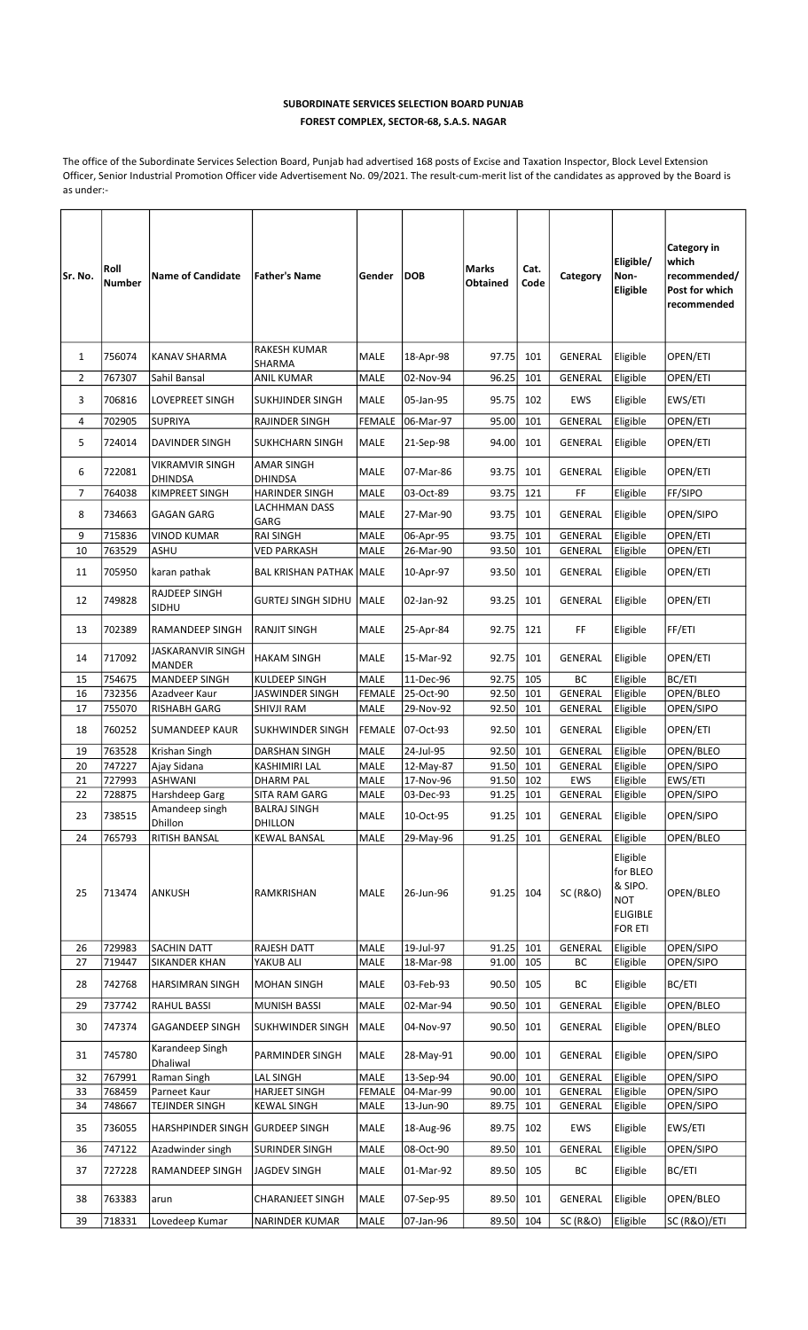## SUBORDINATE SERVICES SELECTION BOARD PUNJAB FOREST COMPLEX, SECTOR-68, S.A.S. NAGAR

The office of the Subordinate Services Selection Board, Punjab had advertised 168 posts of Excise and Taxation Inspector, Block Level Extension Officer, Senior Industrial Promotion Officer vide Advertisement No. 09/2021. The result-cum-merit list of the candidates as approved by the Board is as under:-

| <b>RAKESH KUMAR</b><br>97.75<br>OPEN/ETI<br>1<br>756074<br><b>KANAV SHARMA</b><br>MALE<br>18-Apr-98<br>101<br>GENERAL<br>Eligible<br>SHARMA<br>$\overline{2}$<br>96.25<br>767307<br>Sahil Bansal<br><b>ANIL KUMAR</b><br>MALE<br>02-Nov-94<br>101<br><b>GENERAL</b><br>Eligible<br>OPEN/ETI<br>3<br>706816<br>MALE<br>95.75<br>102<br>EWS<br>Eligible<br>EWS/ETI<br>LOVEPREET SINGH<br><b>SUKHJINDER SINGH</b><br>05-Jan-95<br>702905<br>95.00<br>101<br>GENERAL<br>Eligible<br>4<br><b>SUPRIYA</b><br>RAJINDER SINGH<br>FEMALE<br>06-Mar-97<br>OPEN/ETI<br>5<br>724014<br>MALE<br>94.00<br>101<br><b>GENERAL</b><br>Eligible<br>OPEN/ETI<br>DAVINDER SINGH<br>SUKHCHARN SINGH<br>21-Sep-98<br><b>VIKRAMVIR SINGH</b><br><b>AMAR SINGH</b><br>6<br>722081<br>MALE<br>07-Mar-86<br>93.75<br>101<br><b>GENERAL</b><br>Eligible<br>OPEN/ETI<br><b>DHINDSA</b><br><b>DHINDSA</b><br>$\overline{7}$<br>93.75<br>FF<br>764038<br><b>KIMPREET SINGH</b><br><b>HARINDER SINGH</b><br>MALE<br>121<br>Eligible<br>FF/SIPO<br>03-Oct-89<br>LACHHMAN DASS<br>93.75<br>101<br>Eligible<br>8<br>734663<br><b>GAGAN GARG</b><br>MALE<br>27-Mar-90<br><b>GENERAL</b><br>OPEN/SIPO<br>GARG<br>715836<br>93.75<br>101<br>GENERAL<br>Eligible<br>9<br><b>VINOD KUMAR</b><br><b>RAI SINGH</b><br>MALE<br>OPEN/ETI<br>06-Apr-95<br>10<br>763529<br><b>MALE</b><br>93.50<br>101<br><b>ASHU</b><br><b>VED PARKASH</b><br>26-Mar-90<br><b>GENERAL</b><br>Eligible<br>OPEN/ETI<br>705950<br>93.50<br>101<br>Eligible<br>OPEN/ETI<br>11<br>karan pathak<br><b>BAL KRISHAN PATHAK</b><br>MALE<br>10-Apr-97<br>GENERAL<br>RAJDEEP SINGH<br>12<br>749828<br>MALE<br>93.25<br>101<br>Eligible<br>OPEN/ETI<br><b>GURTEJ SINGH SIDHU</b><br>02-Jan-92<br>GENERAL<br>SIDHU<br>702389<br>FF<br>FF/ETI<br>13<br>RAMANDEEP SINGH<br>RANJIT SINGH<br>MALE<br>25-Apr-84<br>92.75<br>121<br>Eligible<br><b>JASKARANVIR SINGH</b><br>717092<br>MALE<br>92.75<br>101<br>Eligible<br>OPEN/ETI<br>14<br><b>HAKAM SINGH</b><br>15-Mar-92<br>GENERAL<br><b>MANDER</b><br><b>MALE</b><br>92.75<br>105<br>BC<br>15<br>754675<br><b>MANDEEP SINGH</b><br>Eligible<br>BC/ETI<br>KULDEEP SINGH<br>11-Dec-96<br>92.50<br>732356<br><b>FEMALE</b><br>25-Oct-90<br>101<br>GENERAL<br>Eligible<br>JASWINDER SINGH<br>OPEN/BLEO<br>16<br>Azadveer Kaur<br>92.50<br>755070<br>MALE<br>101<br><b>GENERAL</b><br>Eligible<br>OPEN/SIPO<br>17<br><b>RISHABH GARG</b><br>SHIVJI RAM<br>29-Nov-92<br>18<br>760252<br>07-Oct-93<br>92.50<br>101<br><b>GENERAL</b><br>Eligible<br><b>SUMANDEEP KAUR</b><br>SUKHWINDER SINGH<br><b>FEMALE</b><br>OPEN/ETI<br>763528<br>92.50<br>101<br>19<br>MALE<br>24-Jul-95<br><b>GENERAL</b><br>Eligible<br>OPEN/BLEO<br>Krishan Singh<br>DARSHAN SINGH<br>91.50<br>747227<br>Ajay Sidana<br>MALE<br>101<br>GENERAL<br>Eligible<br>OPEN/SIPO<br>20<br>KASHIMIRI LAL<br>12-May-87<br>91.50<br>727993<br><b>ASHWANI</b><br>MALE<br>17-Nov-96<br>102<br>EWS<br>Eligible<br>EWS/ETI<br>21<br><b>DHARM PAL</b><br>22<br>728875<br>91.25<br>101<br><b>GENERAL</b><br>OPEN/SIPO<br>SITA RAM GARG<br>MALE<br>03-Dec-93<br>Eligible<br>Harshdeep Garg<br><b>BALRAJ SINGH</b><br>Amandeep singh<br>738515<br>23<br>MALE<br>10-Oct-95<br>91.25<br>101<br>GENERAL<br>Eligible<br>OPEN/SIPO<br>Dhillon<br><b>DHILLON</b><br>24<br>765793<br>RITISH BANSAL<br><b>KEWAL BANSAL</b><br>MALE<br>91.25<br>101<br><b>GENERAL</b><br>Eligible<br>OPEN/BLEO<br>29-May-96<br>Eligible<br>for BLEO<br>& SIPO.<br>91.25<br>25<br>26-Jun-96<br>104<br><b>SC (R&amp;O)</b><br>OPEN/BLEO<br>713474<br>ANKUSH<br>RAMKRISHAN<br>MALE<br><b>NOT</b><br><b>ELIGIBLE</b><br>FOR ETI<br>91.25<br>19-Jul-97<br>729983<br><b>SACHIN DATT</b><br>RAJESH DATT<br>MALE<br>101<br>GENERAL<br>Eligible<br>OPEN/SIPO<br>26<br>27<br>719447<br>YAKUB ALI<br>MALE<br>18-Mar-98<br>91.00<br>105<br>BC<br>Eligible<br>OPEN/SIPO<br><b>SIKANDER KHAN</b><br>90.50<br>28<br>742768<br><b>HARSIMRAN SINGH</b><br>MALE<br>03-Feb-93<br>105<br>ВC<br>Eligible<br>BC/ETI<br>MOHAN SINGH<br>737742<br>90.50<br>101<br>Eligible<br>OPEN/BLEO<br>29<br>RAHUL BASSI<br><b>MUNISH BASSI</b><br>MALE<br>02-Mar-94<br><b>GENERAL</b><br>747374<br>90.50<br>30<br><b>GAGANDEEP SINGH</b><br>SUKHWINDER SINGH<br>MALE<br>04-Nov-97<br>101<br>GENERAL<br>Eligible<br>OPEN/BLEO<br>Karandeep Singh<br>745780<br>90.00<br>101<br>Eligible<br>OPEN/SIPO<br>31<br>PARMINDER SINGH<br>MALE<br>28-May-91<br>GENERAL<br>Dhaliwal<br>101<br>32<br>767991<br>Raman Singh<br>MALE<br>13-Sep-94<br>90.00<br><b>GENERAL</b><br>Eligible<br>OPEN/SIPO<br>LAL SINGH<br>33<br>768459<br>04-Mar-99<br>Eligible<br>OPEN/SIPO<br>Parneet Kaur<br><b>HARJEET SINGH</b><br>FEMALE<br>90.00<br>101<br>GENERAL<br>89.75<br>748667<br>TEJINDER SINGH<br>13-Jun-90<br>101<br>Eligible<br>OPEN/SIPO<br>34<br><b>KEWAL SINGH</b><br>MALE<br><b>GENERAL</b><br>35<br>736055<br>89.75<br>EWS<br>Eligible<br>EWS/ETI<br>HARSHPINDER SINGH GURDEEP SINGH<br>MALE<br>18-Aug-96<br>102<br>36<br>747122<br>MALE<br>89.50<br>101<br>GENERAL<br>Eligible<br>OPEN/SIPO<br>Azadwinder singh<br>SURINDER SINGH<br>08-Oct-90<br>37<br>727228<br>MALE<br>89.50<br>105<br>ВC<br>Eligible<br>RAMANDEEP SINGH<br>JAGDEV SINGH<br>01-Mar-92<br>BC/ETI<br>763383<br>89.50<br>101<br>Eligible<br>OPEN/BLEO<br>38<br><b>CHARANJEET SINGH</b><br>MALE<br>07-Sep-95<br>GENERAL<br>arun<br>89.50<br>718331<br>MALE<br>07-Jan-96<br>104<br><b>SC (R&amp;O)</b><br>Eligible<br>SC (R&O)/ETI<br>39<br>Lovedeep Kumar<br>NARINDER KUMAR | lSr. No. | Roll<br><b>Number</b> | <b>Name of Candidate</b> | <b>Father's Name</b> | Gender | <b>DOB</b> | <b>Marks</b><br><b>Obtained</b> | Cat.<br>Code | Category | Eligible/<br>Non-<br>Eligible | Category in<br>which<br>recommended/<br>Post for which<br>recommended |
|------------------------------------------------------------------------------------------------------------------------------------------------------------------------------------------------------------------------------------------------------------------------------------------------------------------------------------------------------------------------------------------------------------------------------------------------------------------------------------------------------------------------------------------------------------------------------------------------------------------------------------------------------------------------------------------------------------------------------------------------------------------------------------------------------------------------------------------------------------------------------------------------------------------------------------------------------------------------------------------------------------------------------------------------------------------------------------------------------------------------------------------------------------------------------------------------------------------------------------------------------------------------------------------------------------------------------------------------------------------------------------------------------------------------------------------------------------------------------------------------------------------------------------------------------------------------------------------------------------------------------------------------------------------------------------------------------------------------------------------------------------------------------------------------------------------------------------------------------------------------------------------------------------------------------------------------------------------------------------------------------------------------------------------------------------------------------------------------------------------------------------------------------------------------------------------------------------------------------------------------------------------------------------------------------------------------------------------------------------------------------------------------------------------------------------------------------------------------------------------------------------------------------------------------------------------------------------------------------------------------------------------------------------------------------------------------------------------------------------------------------------------------------------------------------------------------------------------------------------------------------------------------------------------------------------------------------------------------------------------------------------------------------------------------------------------------------------------------------------------------------------------------------------------------------------------------------------------------------------------------------------------------------------------------------------------------------------------------------------------------------------------------------------------------------------------------------------------------------------------------------------------------------------------------------------------------------------------------------------------------------------------------------------------------------------------------------------------------------------------------------------------------------------------------------------------------------------------------------------------------------------------------------------------------------------------------------------------------------------------------------------------------------------------------------------------------------------------------------------------------------------------------------------------------------------------------------------------------------------------------------------------------------------------------------------------------------------------------------------------------------------------------------------------------------------------------------------------------------------------------------------------------------------------------------------------------------------------------------------------------------------------------------------------------------------------------------------------------------------------------------------------------------------------------------------------------------------------------------------------------------------------------------------------------------------------------------------------------------------------------------------------------------------------------------------------------------------------------------------------------------------------------------------------------------------------------------------------------------------------------------------------------------------------------------------------------------------------------------------------------------------------------------------------------------------------------------------------------------------------|----------|-----------------------|--------------------------|----------------------|--------|------------|---------------------------------|--------------|----------|-------------------------------|-----------------------------------------------------------------------|
|                                                                                                                                                                                                                                                                                                                                                                                                                                                                                                                                                                                                                                                                                                                                                                                                                                                                                                                                                                                                                                                                                                                                                                                                                                                                                                                                                                                                                                                                                                                                                                                                                                                                                                                                                                                                                                                                                                                                                                                                                                                                                                                                                                                                                                                                                                                                                                                                                                                                                                                                                                                                                                                                                                                                                                                                                                                                                                                                                                                                                                                                                                                                                                                                                                                                                                                                                                                                                                                                                                                                                                                                                                                                                                                                                                                                                                                                                                                                                                                                                                                                                                                                                                                                                                                                                                                                                                                                                                                                                                                                                                                                                                                                                                                                                                                                                                                                                                                                                                                                                                                                                                                                                                                                                                                                                                                                                                                                                                                                                          |          |                       |                          |                      |        |            |                                 |              |          |                               |                                                                       |
|                                                                                                                                                                                                                                                                                                                                                                                                                                                                                                                                                                                                                                                                                                                                                                                                                                                                                                                                                                                                                                                                                                                                                                                                                                                                                                                                                                                                                                                                                                                                                                                                                                                                                                                                                                                                                                                                                                                                                                                                                                                                                                                                                                                                                                                                                                                                                                                                                                                                                                                                                                                                                                                                                                                                                                                                                                                                                                                                                                                                                                                                                                                                                                                                                                                                                                                                                                                                                                                                                                                                                                                                                                                                                                                                                                                                                                                                                                                                                                                                                                                                                                                                                                                                                                                                                                                                                                                                                                                                                                                                                                                                                                                                                                                                                                                                                                                                                                                                                                                                                                                                                                                                                                                                                                                                                                                                                                                                                                                                                          |          |                       |                          |                      |        |            |                                 |              |          |                               |                                                                       |
|                                                                                                                                                                                                                                                                                                                                                                                                                                                                                                                                                                                                                                                                                                                                                                                                                                                                                                                                                                                                                                                                                                                                                                                                                                                                                                                                                                                                                                                                                                                                                                                                                                                                                                                                                                                                                                                                                                                                                                                                                                                                                                                                                                                                                                                                                                                                                                                                                                                                                                                                                                                                                                                                                                                                                                                                                                                                                                                                                                                                                                                                                                                                                                                                                                                                                                                                                                                                                                                                                                                                                                                                                                                                                                                                                                                                                                                                                                                                                                                                                                                                                                                                                                                                                                                                                                                                                                                                                                                                                                                                                                                                                                                                                                                                                                                                                                                                                                                                                                                                                                                                                                                                                                                                                                                                                                                                                                                                                                                                                          |          |                       |                          |                      |        |            |                                 |              |          |                               |                                                                       |
|                                                                                                                                                                                                                                                                                                                                                                                                                                                                                                                                                                                                                                                                                                                                                                                                                                                                                                                                                                                                                                                                                                                                                                                                                                                                                                                                                                                                                                                                                                                                                                                                                                                                                                                                                                                                                                                                                                                                                                                                                                                                                                                                                                                                                                                                                                                                                                                                                                                                                                                                                                                                                                                                                                                                                                                                                                                                                                                                                                                                                                                                                                                                                                                                                                                                                                                                                                                                                                                                                                                                                                                                                                                                                                                                                                                                                                                                                                                                                                                                                                                                                                                                                                                                                                                                                                                                                                                                                                                                                                                                                                                                                                                                                                                                                                                                                                                                                                                                                                                                                                                                                                                                                                                                                                                                                                                                                                                                                                                                                          |          |                       |                          |                      |        |            |                                 |              |          |                               |                                                                       |
|                                                                                                                                                                                                                                                                                                                                                                                                                                                                                                                                                                                                                                                                                                                                                                                                                                                                                                                                                                                                                                                                                                                                                                                                                                                                                                                                                                                                                                                                                                                                                                                                                                                                                                                                                                                                                                                                                                                                                                                                                                                                                                                                                                                                                                                                                                                                                                                                                                                                                                                                                                                                                                                                                                                                                                                                                                                                                                                                                                                                                                                                                                                                                                                                                                                                                                                                                                                                                                                                                                                                                                                                                                                                                                                                                                                                                                                                                                                                                                                                                                                                                                                                                                                                                                                                                                                                                                                                                                                                                                                                                                                                                                                                                                                                                                                                                                                                                                                                                                                                                                                                                                                                                                                                                                                                                                                                                                                                                                                                                          |          |                       |                          |                      |        |            |                                 |              |          |                               |                                                                       |
|                                                                                                                                                                                                                                                                                                                                                                                                                                                                                                                                                                                                                                                                                                                                                                                                                                                                                                                                                                                                                                                                                                                                                                                                                                                                                                                                                                                                                                                                                                                                                                                                                                                                                                                                                                                                                                                                                                                                                                                                                                                                                                                                                                                                                                                                                                                                                                                                                                                                                                                                                                                                                                                                                                                                                                                                                                                                                                                                                                                                                                                                                                                                                                                                                                                                                                                                                                                                                                                                                                                                                                                                                                                                                                                                                                                                                                                                                                                                                                                                                                                                                                                                                                                                                                                                                                                                                                                                                                                                                                                                                                                                                                                                                                                                                                                                                                                                                                                                                                                                                                                                                                                                                                                                                                                                                                                                                                                                                                                                                          |          |                       |                          |                      |        |            |                                 |              |          |                               |                                                                       |
|                                                                                                                                                                                                                                                                                                                                                                                                                                                                                                                                                                                                                                                                                                                                                                                                                                                                                                                                                                                                                                                                                                                                                                                                                                                                                                                                                                                                                                                                                                                                                                                                                                                                                                                                                                                                                                                                                                                                                                                                                                                                                                                                                                                                                                                                                                                                                                                                                                                                                                                                                                                                                                                                                                                                                                                                                                                                                                                                                                                                                                                                                                                                                                                                                                                                                                                                                                                                                                                                                                                                                                                                                                                                                                                                                                                                                                                                                                                                                                                                                                                                                                                                                                                                                                                                                                                                                                                                                                                                                                                                                                                                                                                                                                                                                                                                                                                                                                                                                                                                                                                                                                                                                                                                                                                                                                                                                                                                                                                                                          |          |                       |                          |                      |        |            |                                 |              |          |                               |                                                                       |
|                                                                                                                                                                                                                                                                                                                                                                                                                                                                                                                                                                                                                                                                                                                                                                                                                                                                                                                                                                                                                                                                                                                                                                                                                                                                                                                                                                                                                                                                                                                                                                                                                                                                                                                                                                                                                                                                                                                                                                                                                                                                                                                                                                                                                                                                                                                                                                                                                                                                                                                                                                                                                                                                                                                                                                                                                                                                                                                                                                                                                                                                                                                                                                                                                                                                                                                                                                                                                                                                                                                                                                                                                                                                                                                                                                                                                                                                                                                                                                                                                                                                                                                                                                                                                                                                                                                                                                                                                                                                                                                                                                                                                                                                                                                                                                                                                                                                                                                                                                                                                                                                                                                                                                                                                                                                                                                                                                                                                                                                                          |          |                       |                          |                      |        |            |                                 |              |          |                               |                                                                       |
|                                                                                                                                                                                                                                                                                                                                                                                                                                                                                                                                                                                                                                                                                                                                                                                                                                                                                                                                                                                                                                                                                                                                                                                                                                                                                                                                                                                                                                                                                                                                                                                                                                                                                                                                                                                                                                                                                                                                                                                                                                                                                                                                                                                                                                                                                                                                                                                                                                                                                                                                                                                                                                                                                                                                                                                                                                                                                                                                                                                                                                                                                                                                                                                                                                                                                                                                                                                                                                                                                                                                                                                                                                                                                                                                                                                                                                                                                                                                                                                                                                                                                                                                                                                                                                                                                                                                                                                                                                                                                                                                                                                                                                                                                                                                                                                                                                                                                                                                                                                                                                                                                                                                                                                                                                                                                                                                                                                                                                                                                          |          |                       |                          |                      |        |            |                                 |              |          |                               |                                                                       |
|                                                                                                                                                                                                                                                                                                                                                                                                                                                                                                                                                                                                                                                                                                                                                                                                                                                                                                                                                                                                                                                                                                                                                                                                                                                                                                                                                                                                                                                                                                                                                                                                                                                                                                                                                                                                                                                                                                                                                                                                                                                                                                                                                                                                                                                                                                                                                                                                                                                                                                                                                                                                                                                                                                                                                                                                                                                                                                                                                                                                                                                                                                                                                                                                                                                                                                                                                                                                                                                                                                                                                                                                                                                                                                                                                                                                                                                                                                                                                                                                                                                                                                                                                                                                                                                                                                                                                                                                                                                                                                                                                                                                                                                                                                                                                                                                                                                                                                                                                                                                                                                                                                                                                                                                                                                                                                                                                                                                                                                                                          |          |                       |                          |                      |        |            |                                 |              |          |                               |                                                                       |
|                                                                                                                                                                                                                                                                                                                                                                                                                                                                                                                                                                                                                                                                                                                                                                                                                                                                                                                                                                                                                                                                                                                                                                                                                                                                                                                                                                                                                                                                                                                                                                                                                                                                                                                                                                                                                                                                                                                                                                                                                                                                                                                                                                                                                                                                                                                                                                                                                                                                                                                                                                                                                                                                                                                                                                                                                                                                                                                                                                                                                                                                                                                                                                                                                                                                                                                                                                                                                                                                                                                                                                                                                                                                                                                                                                                                                                                                                                                                                                                                                                                                                                                                                                                                                                                                                                                                                                                                                                                                                                                                                                                                                                                                                                                                                                                                                                                                                                                                                                                                                                                                                                                                                                                                                                                                                                                                                                                                                                                                                          |          |                       |                          |                      |        |            |                                 |              |          |                               |                                                                       |
|                                                                                                                                                                                                                                                                                                                                                                                                                                                                                                                                                                                                                                                                                                                                                                                                                                                                                                                                                                                                                                                                                                                                                                                                                                                                                                                                                                                                                                                                                                                                                                                                                                                                                                                                                                                                                                                                                                                                                                                                                                                                                                                                                                                                                                                                                                                                                                                                                                                                                                                                                                                                                                                                                                                                                                                                                                                                                                                                                                                                                                                                                                                                                                                                                                                                                                                                                                                                                                                                                                                                                                                                                                                                                                                                                                                                                                                                                                                                                                                                                                                                                                                                                                                                                                                                                                                                                                                                                                                                                                                                                                                                                                                                                                                                                                                                                                                                                                                                                                                                                                                                                                                                                                                                                                                                                                                                                                                                                                                                                          |          |                       |                          |                      |        |            |                                 |              |          |                               |                                                                       |
|                                                                                                                                                                                                                                                                                                                                                                                                                                                                                                                                                                                                                                                                                                                                                                                                                                                                                                                                                                                                                                                                                                                                                                                                                                                                                                                                                                                                                                                                                                                                                                                                                                                                                                                                                                                                                                                                                                                                                                                                                                                                                                                                                                                                                                                                                                                                                                                                                                                                                                                                                                                                                                                                                                                                                                                                                                                                                                                                                                                                                                                                                                                                                                                                                                                                                                                                                                                                                                                                                                                                                                                                                                                                                                                                                                                                                                                                                                                                                                                                                                                                                                                                                                                                                                                                                                                                                                                                                                                                                                                                                                                                                                                                                                                                                                                                                                                                                                                                                                                                                                                                                                                                                                                                                                                                                                                                                                                                                                                                                          |          |                       |                          |                      |        |            |                                 |              |          |                               |                                                                       |
|                                                                                                                                                                                                                                                                                                                                                                                                                                                                                                                                                                                                                                                                                                                                                                                                                                                                                                                                                                                                                                                                                                                                                                                                                                                                                                                                                                                                                                                                                                                                                                                                                                                                                                                                                                                                                                                                                                                                                                                                                                                                                                                                                                                                                                                                                                                                                                                                                                                                                                                                                                                                                                                                                                                                                                                                                                                                                                                                                                                                                                                                                                                                                                                                                                                                                                                                                                                                                                                                                                                                                                                                                                                                                                                                                                                                                                                                                                                                                                                                                                                                                                                                                                                                                                                                                                                                                                                                                                                                                                                                                                                                                                                                                                                                                                                                                                                                                                                                                                                                                                                                                                                                                                                                                                                                                                                                                                                                                                                                                          |          |                       |                          |                      |        |            |                                 |              |          |                               |                                                                       |
|                                                                                                                                                                                                                                                                                                                                                                                                                                                                                                                                                                                                                                                                                                                                                                                                                                                                                                                                                                                                                                                                                                                                                                                                                                                                                                                                                                                                                                                                                                                                                                                                                                                                                                                                                                                                                                                                                                                                                                                                                                                                                                                                                                                                                                                                                                                                                                                                                                                                                                                                                                                                                                                                                                                                                                                                                                                                                                                                                                                                                                                                                                                                                                                                                                                                                                                                                                                                                                                                                                                                                                                                                                                                                                                                                                                                                                                                                                                                                                                                                                                                                                                                                                                                                                                                                                                                                                                                                                                                                                                                                                                                                                                                                                                                                                                                                                                                                                                                                                                                                                                                                                                                                                                                                                                                                                                                                                                                                                                                                          |          |                       |                          |                      |        |            |                                 |              |          |                               |                                                                       |
|                                                                                                                                                                                                                                                                                                                                                                                                                                                                                                                                                                                                                                                                                                                                                                                                                                                                                                                                                                                                                                                                                                                                                                                                                                                                                                                                                                                                                                                                                                                                                                                                                                                                                                                                                                                                                                                                                                                                                                                                                                                                                                                                                                                                                                                                                                                                                                                                                                                                                                                                                                                                                                                                                                                                                                                                                                                                                                                                                                                                                                                                                                                                                                                                                                                                                                                                                                                                                                                                                                                                                                                                                                                                                                                                                                                                                                                                                                                                                                                                                                                                                                                                                                                                                                                                                                                                                                                                                                                                                                                                                                                                                                                                                                                                                                                                                                                                                                                                                                                                                                                                                                                                                                                                                                                                                                                                                                                                                                                                                          |          |                       |                          |                      |        |            |                                 |              |          |                               |                                                                       |
|                                                                                                                                                                                                                                                                                                                                                                                                                                                                                                                                                                                                                                                                                                                                                                                                                                                                                                                                                                                                                                                                                                                                                                                                                                                                                                                                                                                                                                                                                                                                                                                                                                                                                                                                                                                                                                                                                                                                                                                                                                                                                                                                                                                                                                                                                                                                                                                                                                                                                                                                                                                                                                                                                                                                                                                                                                                                                                                                                                                                                                                                                                                                                                                                                                                                                                                                                                                                                                                                                                                                                                                                                                                                                                                                                                                                                                                                                                                                                                                                                                                                                                                                                                                                                                                                                                                                                                                                                                                                                                                                                                                                                                                                                                                                                                                                                                                                                                                                                                                                                                                                                                                                                                                                                                                                                                                                                                                                                                                                                          |          |                       |                          |                      |        |            |                                 |              |          |                               |                                                                       |
|                                                                                                                                                                                                                                                                                                                                                                                                                                                                                                                                                                                                                                                                                                                                                                                                                                                                                                                                                                                                                                                                                                                                                                                                                                                                                                                                                                                                                                                                                                                                                                                                                                                                                                                                                                                                                                                                                                                                                                                                                                                                                                                                                                                                                                                                                                                                                                                                                                                                                                                                                                                                                                                                                                                                                                                                                                                                                                                                                                                                                                                                                                                                                                                                                                                                                                                                                                                                                                                                                                                                                                                                                                                                                                                                                                                                                                                                                                                                                                                                                                                                                                                                                                                                                                                                                                                                                                                                                                                                                                                                                                                                                                                                                                                                                                                                                                                                                                                                                                                                                                                                                                                                                                                                                                                                                                                                                                                                                                                                                          |          |                       |                          |                      |        |            |                                 |              |          |                               |                                                                       |
|                                                                                                                                                                                                                                                                                                                                                                                                                                                                                                                                                                                                                                                                                                                                                                                                                                                                                                                                                                                                                                                                                                                                                                                                                                                                                                                                                                                                                                                                                                                                                                                                                                                                                                                                                                                                                                                                                                                                                                                                                                                                                                                                                                                                                                                                                                                                                                                                                                                                                                                                                                                                                                                                                                                                                                                                                                                                                                                                                                                                                                                                                                                                                                                                                                                                                                                                                                                                                                                                                                                                                                                                                                                                                                                                                                                                                                                                                                                                                                                                                                                                                                                                                                                                                                                                                                                                                                                                                                                                                                                                                                                                                                                                                                                                                                                                                                                                                                                                                                                                                                                                                                                                                                                                                                                                                                                                                                                                                                                                                          |          |                       |                          |                      |        |            |                                 |              |          |                               |                                                                       |
|                                                                                                                                                                                                                                                                                                                                                                                                                                                                                                                                                                                                                                                                                                                                                                                                                                                                                                                                                                                                                                                                                                                                                                                                                                                                                                                                                                                                                                                                                                                                                                                                                                                                                                                                                                                                                                                                                                                                                                                                                                                                                                                                                                                                                                                                                                                                                                                                                                                                                                                                                                                                                                                                                                                                                                                                                                                                                                                                                                                                                                                                                                                                                                                                                                                                                                                                                                                                                                                                                                                                                                                                                                                                                                                                                                                                                                                                                                                                                                                                                                                                                                                                                                                                                                                                                                                                                                                                                                                                                                                                                                                                                                                                                                                                                                                                                                                                                                                                                                                                                                                                                                                                                                                                                                                                                                                                                                                                                                                                                          |          |                       |                          |                      |        |            |                                 |              |          |                               |                                                                       |
|                                                                                                                                                                                                                                                                                                                                                                                                                                                                                                                                                                                                                                                                                                                                                                                                                                                                                                                                                                                                                                                                                                                                                                                                                                                                                                                                                                                                                                                                                                                                                                                                                                                                                                                                                                                                                                                                                                                                                                                                                                                                                                                                                                                                                                                                                                                                                                                                                                                                                                                                                                                                                                                                                                                                                                                                                                                                                                                                                                                                                                                                                                                                                                                                                                                                                                                                                                                                                                                                                                                                                                                                                                                                                                                                                                                                                                                                                                                                                                                                                                                                                                                                                                                                                                                                                                                                                                                                                                                                                                                                                                                                                                                                                                                                                                                                                                                                                                                                                                                                                                                                                                                                                                                                                                                                                                                                                                                                                                                                                          |          |                       |                          |                      |        |            |                                 |              |          |                               |                                                                       |
|                                                                                                                                                                                                                                                                                                                                                                                                                                                                                                                                                                                                                                                                                                                                                                                                                                                                                                                                                                                                                                                                                                                                                                                                                                                                                                                                                                                                                                                                                                                                                                                                                                                                                                                                                                                                                                                                                                                                                                                                                                                                                                                                                                                                                                                                                                                                                                                                                                                                                                                                                                                                                                                                                                                                                                                                                                                                                                                                                                                                                                                                                                                                                                                                                                                                                                                                                                                                                                                                                                                                                                                                                                                                                                                                                                                                                                                                                                                                                                                                                                                                                                                                                                                                                                                                                                                                                                                                                                                                                                                                                                                                                                                                                                                                                                                                                                                                                                                                                                                                                                                                                                                                                                                                                                                                                                                                                                                                                                                                                          |          |                       |                          |                      |        |            |                                 |              |          |                               |                                                                       |
|                                                                                                                                                                                                                                                                                                                                                                                                                                                                                                                                                                                                                                                                                                                                                                                                                                                                                                                                                                                                                                                                                                                                                                                                                                                                                                                                                                                                                                                                                                                                                                                                                                                                                                                                                                                                                                                                                                                                                                                                                                                                                                                                                                                                                                                                                                                                                                                                                                                                                                                                                                                                                                                                                                                                                                                                                                                                                                                                                                                                                                                                                                                                                                                                                                                                                                                                                                                                                                                                                                                                                                                                                                                                                                                                                                                                                                                                                                                                                                                                                                                                                                                                                                                                                                                                                                                                                                                                                                                                                                                                                                                                                                                                                                                                                                                                                                                                                                                                                                                                                                                                                                                                                                                                                                                                                                                                                                                                                                                                                          |          |                       |                          |                      |        |            |                                 |              |          |                               |                                                                       |
|                                                                                                                                                                                                                                                                                                                                                                                                                                                                                                                                                                                                                                                                                                                                                                                                                                                                                                                                                                                                                                                                                                                                                                                                                                                                                                                                                                                                                                                                                                                                                                                                                                                                                                                                                                                                                                                                                                                                                                                                                                                                                                                                                                                                                                                                                                                                                                                                                                                                                                                                                                                                                                                                                                                                                                                                                                                                                                                                                                                                                                                                                                                                                                                                                                                                                                                                                                                                                                                                                                                                                                                                                                                                                                                                                                                                                                                                                                                                                                                                                                                                                                                                                                                                                                                                                                                                                                                                                                                                                                                                                                                                                                                                                                                                                                                                                                                                                                                                                                                                                                                                                                                                                                                                                                                                                                                                                                                                                                                                                          |          |                       |                          |                      |        |            |                                 |              |          |                               |                                                                       |
|                                                                                                                                                                                                                                                                                                                                                                                                                                                                                                                                                                                                                                                                                                                                                                                                                                                                                                                                                                                                                                                                                                                                                                                                                                                                                                                                                                                                                                                                                                                                                                                                                                                                                                                                                                                                                                                                                                                                                                                                                                                                                                                                                                                                                                                                                                                                                                                                                                                                                                                                                                                                                                                                                                                                                                                                                                                                                                                                                                                                                                                                                                                                                                                                                                                                                                                                                                                                                                                                                                                                                                                                                                                                                                                                                                                                                                                                                                                                                                                                                                                                                                                                                                                                                                                                                                                                                                                                                                                                                                                                                                                                                                                                                                                                                                                                                                                                                                                                                                                                                                                                                                                                                                                                                                                                                                                                                                                                                                                                                          |          |                       |                          |                      |        |            |                                 |              |          |                               |                                                                       |
|                                                                                                                                                                                                                                                                                                                                                                                                                                                                                                                                                                                                                                                                                                                                                                                                                                                                                                                                                                                                                                                                                                                                                                                                                                                                                                                                                                                                                                                                                                                                                                                                                                                                                                                                                                                                                                                                                                                                                                                                                                                                                                                                                                                                                                                                                                                                                                                                                                                                                                                                                                                                                                                                                                                                                                                                                                                                                                                                                                                                                                                                                                                                                                                                                                                                                                                                                                                                                                                                                                                                                                                                                                                                                                                                                                                                                                                                                                                                                                                                                                                                                                                                                                                                                                                                                                                                                                                                                                                                                                                                                                                                                                                                                                                                                                                                                                                                                                                                                                                                                                                                                                                                                                                                                                                                                                                                                                                                                                                                                          |          |                       |                          |                      |        |            |                                 |              |          |                               |                                                                       |
|                                                                                                                                                                                                                                                                                                                                                                                                                                                                                                                                                                                                                                                                                                                                                                                                                                                                                                                                                                                                                                                                                                                                                                                                                                                                                                                                                                                                                                                                                                                                                                                                                                                                                                                                                                                                                                                                                                                                                                                                                                                                                                                                                                                                                                                                                                                                                                                                                                                                                                                                                                                                                                                                                                                                                                                                                                                                                                                                                                                                                                                                                                                                                                                                                                                                                                                                                                                                                                                                                                                                                                                                                                                                                                                                                                                                                                                                                                                                                                                                                                                                                                                                                                                                                                                                                                                                                                                                                                                                                                                                                                                                                                                                                                                                                                                                                                                                                                                                                                                                                                                                                                                                                                                                                                                                                                                                                                                                                                                                                          |          |                       |                          |                      |        |            |                                 |              |          |                               |                                                                       |
|                                                                                                                                                                                                                                                                                                                                                                                                                                                                                                                                                                                                                                                                                                                                                                                                                                                                                                                                                                                                                                                                                                                                                                                                                                                                                                                                                                                                                                                                                                                                                                                                                                                                                                                                                                                                                                                                                                                                                                                                                                                                                                                                                                                                                                                                                                                                                                                                                                                                                                                                                                                                                                                                                                                                                                                                                                                                                                                                                                                                                                                                                                                                                                                                                                                                                                                                                                                                                                                                                                                                                                                                                                                                                                                                                                                                                                                                                                                                                                                                                                                                                                                                                                                                                                                                                                                                                                                                                                                                                                                                                                                                                                                                                                                                                                                                                                                                                                                                                                                                                                                                                                                                                                                                                                                                                                                                                                                                                                                                                          |          |                       |                          |                      |        |            |                                 |              |          |                               |                                                                       |
|                                                                                                                                                                                                                                                                                                                                                                                                                                                                                                                                                                                                                                                                                                                                                                                                                                                                                                                                                                                                                                                                                                                                                                                                                                                                                                                                                                                                                                                                                                                                                                                                                                                                                                                                                                                                                                                                                                                                                                                                                                                                                                                                                                                                                                                                                                                                                                                                                                                                                                                                                                                                                                                                                                                                                                                                                                                                                                                                                                                                                                                                                                                                                                                                                                                                                                                                                                                                                                                                                                                                                                                                                                                                                                                                                                                                                                                                                                                                                                                                                                                                                                                                                                                                                                                                                                                                                                                                                                                                                                                                                                                                                                                                                                                                                                                                                                                                                                                                                                                                                                                                                                                                                                                                                                                                                                                                                                                                                                                                                          |          |                       |                          |                      |        |            |                                 |              |          |                               |                                                                       |
|                                                                                                                                                                                                                                                                                                                                                                                                                                                                                                                                                                                                                                                                                                                                                                                                                                                                                                                                                                                                                                                                                                                                                                                                                                                                                                                                                                                                                                                                                                                                                                                                                                                                                                                                                                                                                                                                                                                                                                                                                                                                                                                                                                                                                                                                                                                                                                                                                                                                                                                                                                                                                                                                                                                                                                                                                                                                                                                                                                                                                                                                                                                                                                                                                                                                                                                                                                                                                                                                                                                                                                                                                                                                                                                                                                                                                                                                                                                                                                                                                                                                                                                                                                                                                                                                                                                                                                                                                                                                                                                                                                                                                                                                                                                                                                                                                                                                                                                                                                                                                                                                                                                                                                                                                                                                                                                                                                                                                                                                                          |          |                       |                          |                      |        |            |                                 |              |          |                               |                                                                       |
|                                                                                                                                                                                                                                                                                                                                                                                                                                                                                                                                                                                                                                                                                                                                                                                                                                                                                                                                                                                                                                                                                                                                                                                                                                                                                                                                                                                                                                                                                                                                                                                                                                                                                                                                                                                                                                                                                                                                                                                                                                                                                                                                                                                                                                                                                                                                                                                                                                                                                                                                                                                                                                                                                                                                                                                                                                                                                                                                                                                                                                                                                                                                                                                                                                                                                                                                                                                                                                                                                                                                                                                                                                                                                                                                                                                                                                                                                                                                                                                                                                                                                                                                                                                                                                                                                                                                                                                                                                                                                                                                                                                                                                                                                                                                                                                                                                                                                                                                                                                                                                                                                                                                                                                                                                                                                                                                                                                                                                                                                          |          |                       |                          |                      |        |            |                                 |              |          |                               |                                                                       |
|                                                                                                                                                                                                                                                                                                                                                                                                                                                                                                                                                                                                                                                                                                                                                                                                                                                                                                                                                                                                                                                                                                                                                                                                                                                                                                                                                                                                                                                                                                                                                                                                                                                                                                                                                                                                                                                                                                                                                                                                                                                                                                                                                                                                                                                                                                                                                                                                                                                                                                                                                                                                                                                                                                                                                                                                                                                                                                                                                                                                                                                                                                                                                                                                                                                                                                                                                                                                                                                                                                                                                                                                                                                                                                                                                                                                                                                                                                                                                                                                                                                                                                                                                                                                                                                                                                                                                                                                                                                                                                                                                                                                                                                                                                                                                                                                                                                                                                                                                                                                                                                                                                                                                                                                                                                                                                                                                                                                                                                                                          |          |                       |                          |                      |        |            |                                 |              |          |                               |                                                                       |
|                                                                                                                                                                                                                                                                                                                                                                                                                                                                                                                                                                                                                                                                                                                                                                                                                                                                                                                                                                                                                                                                                                                                                                                                                                                                                                                                                                                                                                                                                                                                                                                                                                                                                                                                                                                                                                                                                                                                                                                                                                                                                                                                                                                                                                                                                                                                                                                                                                                                                                                                                                                                                                                                                                                                                                                                                                                                                                                                                                                                                                                                                                                                                                                                                                                                                                                                                                                                                                                                                                                                                                                                                                                                                                                                                                                                                                                                                                                                                                                                                                                                                                                                                                                                                                                                                                                                                                                                                                                                                                                                                                                                                                                                                                                                                                                                                                                                                                                                                                                                                                                                                                                                                                                                                                                                                                                                                                                                                                                                                          |          |                       |                          |                      |        |            |                                 |              |          |                               |                                                                       |
|                                                                                                                                                                                                                                                                                                                                                                                                                                                                                                                                                                                                                                                                                                                                                                                                                                                                                                                                                                                                                                                                                                                                                                                                                                                                                                                                                                                                                                                                                                                                                                                                                                                                                                                                                                                                                                                                                                                                                                                                                                                                                                                                                                                                                                                                                                                                                                                                                                                                                                                                                                                                                                                                                                                                                                                                                                                                                                                                                                                                                                                                                                                                                                                                                                                                                                                                                                                                                                                                                                                                                                                                                                                                                                                                                                                                                                                                                                                                                                                                                                                                                                                                                                                                                                                                                                                                                                                                                                                                                                                                                                                                                                                                                                                                                                                                                                                                                                                                                                                                                                                                                                                                                                                                                                                                                                                                                                                                                                                                                          |          |                       |                          |                      |        |            |                                 |              |          |                               |                                                                       |
|                                                                                                                                                                                                                                                                                                                                                                                                                                                                                                                                                                                                                                                                                                                                                                                                                                                                                                                                                                                                                                                                                                                                                                                                                                                                                                                                                                                                                                                                                                                                                                                                                                                                                                                                                                                                                                                                                                                                                                                                                                                                                                                                                                                                                                                                                                                                                                                                                                                                                                                                                                                                                                                                                                                                                                                                                                                                                                                                                                                                                                                                                                                                                                                                                                                                                                                                                                                                                                                                                                                                                                                                                                                                                                                                                                                                                                                                                                                                                                                                                                                                                                                                                                                                                                                                                                                                                                                                                                                                                                                                                                                                                                                                                                                                                                                                                                                                                                                                                                                                                                                                                                                                                                                                                                                                                                                                                                                                                                                                                          |          |                       |                          |                      |        |            |                                 |              |          |                               |                                                                       |
|                                                                                                                                                                                                                                                                                                                                                                                                                                                                                                                                                                                                                                                                                                                                                                                                                                                                                                                                                                                                                                                                                                                                                                                                                                                                                                                                                                                                                                                                                                                                                                                                                                                                                                                                                                                                                                                                                                                                                                                                                                                                                                                                                                                                                                                                                                                                                                                                                                                                                                                                                                                                                                                                                                                                                                                                                                                                                                                                                                                                                                                                                                                                                                                                                                                                                                                                                                                                                                                                                                                                                                                                                                                                                                                                                                                                                                                                                                                                                                                                                                                                                                                                                                                                                                                                                                                                                                                                                                                                                                                                                                                                                                                                                                                                                                                                                                                                                                                                                                                                                                                                                                                                                                                                                                                                                                                                                                                                                                                                                          |          |                       |                          |                      |        |            |                                 |              |          |                               |                                                                       |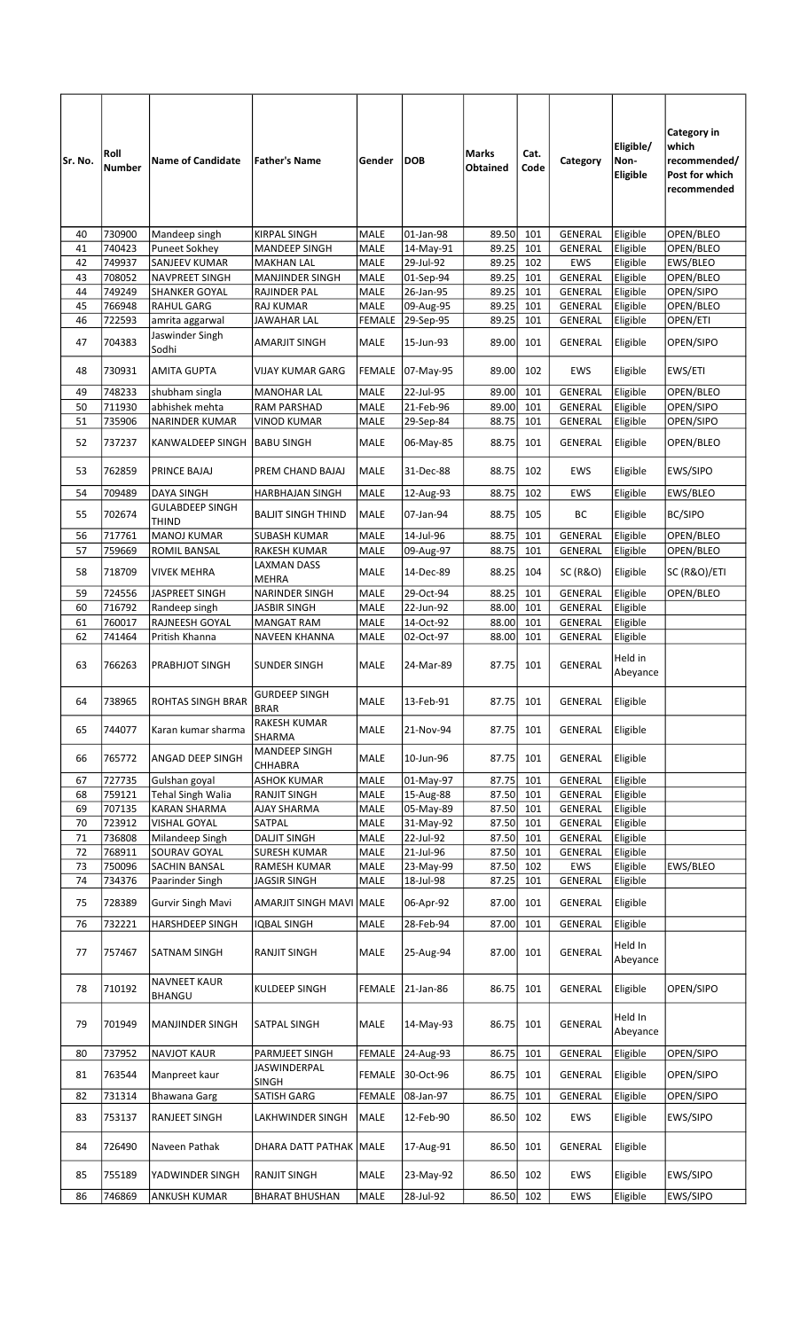| lSr. No. | Roll<br>Number   | <b>Name of Candidate</b>               | <b>Father's Name</b>                | Gender        | <b>DOB</b>             | <b>Marks</b><br><b>Obtained</b> | Cat.<br>Code | Category           | Eligible/<br>Non-<br>Eligible | Category in<br>which<br>recommended/<br>Post for which<br>recommended |
|----------|------------------|----------------------------------------|-------------------------------------|---------------|------------------------|---------------------------------|--------------|--------------------|-------------------------------|-----------------------------------------------------------------------|
| 40       | 730900           | Mandeep singh                          | <b>KIRPAL SINGH</b>                 | MALE          | 01-Jan-98              | 89.50                           | 101          | <b>GENERAL</b>     | Eligible                      | OPEN/BLEO                                                             |
| 41       | 740423           | <b>Puneet Sokhey</b>                   | <b>MANDEEP SINGH</b>                | MALE          | 14-May-91              | 89.25                           | 101          | <b>GENERAL</b>     | Eligible                      | OPEN/BLEO                                                             |
| 42       | 749937           | <b>SANJEEV KUMAR</b>                   | <b>MAKHAN LAL</b>                   | MALE          | 29-Jul-92              | 89.25                           | 102          | EWS                | Eligible                      | EWS/BLEO                                                              |
| 43       | 708052           | <b>NAVPREET SINGH</b>                  | <b>MANJINDER SINGH</b>              | MALE          | 01-Sep-94              | 89.25                           | 101          | GENERAL            | Eligible                      | OPEN/BLEO                                                             |
| 44       | 749249           | <b>SHANKER GOYAL</b>                   | RAJINDER PAL                        | MALE          | 26-Jan-95              | 89.25                           | 101          | <b>GENERAL</b>     | Eligible                      | OPEN/SIPO                                                             |
| 45       | 766948           | <b>RAHUL GARG</b>                      | <b>RAJ KUMAR</b>                    | MALE          | 09-Aug-95              | 89.25                           | 101          | <b>GENERAL</b>     | Eligible                      | OPEN/BLEO                                                             |
| 46       | 722593           | amrita aggarwal                        | JAWAHAR LAL                         | <b>FEMALE</b> | 29-Sep-95              | 89.25                           | 101          | <b>GENERAL</b>     | Eligible                      | OPEN/ETI                                                              |
| 47       | 704383           | Jaswinder Singh<br>Sodhi               | AMARJIT SINGH                       | MALE          | 15-Jun-93              | 89.00                           | 101          | GENERAL            | Eligible                      | OPEN/SIPO                                                             |
| 48       | 730931           | <b>AMITA GUPTA</b>                     | <b>VIJAY KUMAR GARG</b>             | FEMALE        | 07-May-95              | 89.00                           | 102          | EWS                | Eligible                      | EWS/ETI                                                               |
| 49       | 748233           | shubham singla                         | <b>MANOHAR LAL</b>                  | MALE          | 22-Jul-95              | 89.00                           | 101          | <b>GENERAL</b>     | Eligible                      | OPEN/BLEO                                                             |
| 50       | 711930           | abhishek mehta                         | RAM PARSHAD                         | MALE          | 21-Feb-96              | 89.00                           | 101          | <b>GENERAL</b>     | Eligible                      | OPEN/SIPO                                                             |
| 51       | 735906           | <b>NARINDER KUMAR</b>                  | VINOD KUMAR                         | MALE          | 29-Sep-84              | 88.75                           | 101          | <b>GENERAL</b>     | Eligible                      | OPEN/SIPO                                                             |
| 52       | 737237           | KANWALDEEP SINGH   BABU SINGH          |                                     | MALE          | 06-May-85              | 88.75                           | 101          | GENERAL            | Eligible                      | OPEN/BLEO                                                             |
| 53       | 762859           | PRINCE BAJAJ                           | PREM CHAND BAJAJ                    | MALE          | 31-Dec-88              | 88.75                           | 102          | <b>EWS</b>         | Eligible                      | EWS/SIPO                                                              |
| 54       | 709489           | <b>DAYA SINGH</b>                      | <b>HARBHAJAN SINGH</b>              | MALE          | 12-Aug-93              | 88.75                           | 102          | EWS                | Eligible                      | EWS/BLEO                                                              |
| 55       | 702674           | <b>GULABDEEP SINGH</b><br><b>THIND</b> | <b>BALJIT SINGH THIND</b>           | MALE          | 07-Jan-94              | 88.75                           | 105          | ВC                 | Eligible                      | BC/SIPO                                                               |
| 56       | 717761           | <b>MANOJ KUMAR</b>                     | SUBASH KUMAR                        | MALE          | 14-Jul-96              | 88.75                           | 101          | <b>GENERAL</b>     | Eligible                      | OPEN/BLEO                                                             |
| 57       | 759669           | ROMIL BANSAL                           | RAKESH KUMAR                        | MALE          | 09-Aug-97              | 88.75                           | 101          | <b>GENERAL</b>     | Eligible                      | OPEN/BLEO                                                             |
| 58       | 718709           | <b>VIVEK MEHRA</b>                     | LAXMAN DASS<br>MEHRA                | MALE          | 14-Dec-89              | 88.25                           | 104          | SC (R&O)           | Eligible                      | SC (R&O)/ETI                                                          |
| 59       | 724556           | <b>JASPREET SINGH</b>                  | <b>NARINDER SINGH</b>               | MALE          | 29-Oct-94              | 88.25                           | 101          | GENERAL            | Eligible                      | OPEN/BLEO                                                             |
| 60       | 716792           | Randeep singh                          | <b>JASBIR SINGH</b>                 | MALE          | 22-Jun-92              | 88.00                           | 101          | <b>GENERAL</b>     | Eligible                      |                                                                       |
| 61       | 760017           | RAJNEESH GOYAL                         | <b>MANGAT RAM</b>                   | MALE          | 14-Oct-92              | 88.00                           | 101          | <b>GENERAL</b>     | Eligible                      |                                                                       |
| 62       | 741464           | Pritish Khanna                         | NAVEEN KHANNA                       | MALE          | 02-Oct-97              | 88.00                           | 101          | <b>GENERAL</b>     | Eligible                      |                                                                       |
| 63       | 766263           | <b>PRABHJOT SINGH</b>                  | <b>SUNDER SINGH</b>                 | MALE          | 24-Mar-89              | 87.75                           | 101          | <b>GENERAL</b>     | Held in<br>Abeyance           |                                                                       |
| 64       | 738965           | ROHTAS SINGH BRAR                      | <b>GURDEEP SINGH</b><br><b>BRAR</b> | MALE          | 13-Feb-91              | 87.75                           | 101          | GENERAL            | Eligible                      |                                                                       |
| 65       | 744077           | Karan kumar sharma                     | RAKESH KUMAR<br>SHARMA              | MALE          | 21-Nov-94              | 87.75                           | 101          | GENERAL            | Eligible                      |                                                                       |
| 66       | 765772           | ANGAD DEEP SINGH                       | <b>MANDEEP SINGH</b><br>CHHABRA     | MALE          | 10-Jun-96              | 87.75                           | 101          | GENERAL            | Eligible                      |                                                                       |
| 67       | 727735           | Gulshan goyal                          | <b>ASHOK KUMAR</b>                  | MALE          | 01-May-97              | 87.75                           | 101          | <b>GENERAL</b>     | Eligible                      |                                                                       |
| 68       | 759121           | Tehal Singh Walia                      | RANJIT SINGH                        | MALE          | 15-Aug-88              | 87.50                           | 101          | GENERAL            | Eligible                      |                                                                       |
| 69       | 707135           | <b>KARAN SHARMA</b>                    | AJAY SHARMA                         | MALE          | 05-May-89              | 87.50                           | 101          | GENERAL            | Eligible                      |                                                                       |
| 70<br>71 | 723912<br>736808 | VISHAL GOYAL<br>Milandeep Singh        | SATPAL<br><b>DALJIT SINGH</b>       | MALE<br>MALE  | 31-May-92<br>22-Jul-92 | 87.50<br>87.50                  | 101<br>101   | GENERAL<br>GENERAL | Eligible<br>Eligible          |                                                                       |
| 72       | 768911           | SOURAV GOYAL                           | <b>SURESH KUMAR</b>                 | MALE          | 21-Jul-96              | 87.50                           | 101          | <b>GENERAL</b>     | Eligible                      |                                                                       |
| 73       | 750096           | SACHIN BANSAL                          | RAMESH KUMAR                        | MALE          | 23-May-99              | 87.50                           | 102          | EWS                | Eligible                      | EWS/BLEO                                                              |
| 74       | 734376           | Paarinder Singh                        | <b>JAGSIR SINGH</b>                 | MALE          | 18-Jul-98              | 87.25                           | 101          | GENERAL            | Eligible                      |                                                                       |
| 75       | 728389           | Gurvir Singh Mavi                      | AMARJIT SINGH MAVI MALE             |               | 06-Apr-92              | 87.00                           | 101          | GENERAL            | Eligible                      |                                                                       |
| 76       | 732221           | <b>HARSHDEEP SINGH</b>                 | IQBAL SINGH                         | MALE          | 28-Feb-94              | 87.00                           | 101          | GENERAL            | Eligible                      |                                                                       |
| 77       | 757467           | <b>SATNAM SINGH</b>                    | <b>RANJIT SINGH</b>                 | MALE          | 25-Aug-94              | 87.00                           | 101          | GENERAL            | Held In<br>Abeyance           |                                                                       |
| 78       | 710192           | <b>NAVNEET KAUR</b><br><b>BHANGU</b>   | KULDEEP SINGH                       | FEMALE        | $ 21$ -Jan-86          | 86.75                           | 101          | GENERAL            | Eligible                      | OPEN/SIPO                                                             |
| 79       | 701949           | <b>MANJINDER SINGH</b>                 | SATPAL SINGH                        | MALE          | 14-May-93              | 86.75                           | 101          | GENERAL            | Held In<br>Abeyance           |                                                                       |
| 80       | 737952           | <b>NAVJOT KAUR</b>                     | PARMJEET SINGH                      | FEMALE        | 24-Aug-93              | 86.75                           | 101          | GENERAL            | Eligible                      | OPEN/SIPO                                                             |
| 81       | 763544           | Manpreet kaur                          | JASWINDERPAL<br><b>SINGH</b>        | FEMALE        | 30-Oct-96              | 86.75                           | 101          | GENERAL            | Eligible                      | OPEN/SIPO                                                             |
| 82       | 731314           | Bhawana Garg                           | SATISH GARG                         | FEMALE        | 08-Jan-97              | 86.75                           | 101          | <b>GENERAL</b>     | Eligible                      | OPEN/SIPO                                                             |
| 83       | 753137           | <b>RANJEET SINGH</b>                   | LAKHWINDER SINGH                    | MALE          | 12-Feb-90              | 86.50                           | 102          | EWS                | Eligible                      | EWS/SIPO                                                              |
| 84       | 726490           | Naveen Pathak                          | DHARA DATT PATHAK   MALE            |               | 17-Aug-91              | 86.50                           | 101          | GENERAL            | Eligible                      |                                                                       |
| 85       | 755189           | YADWINDER SINGH                        | <b>RANJIT SINGH</b>                 | MALE          | 23-May-92              | 86.50                           | 102          | EWS                | Eligible                      | EWS/SIPO                                                              |
| 86       | 746869           | <b>ANKUSH KUMAR</b>                    | <b>BHARAT BHUSHAN</b>               | MALE          | 28-Jul-92              | 86.50                           | 102          | EWS                | Eligible                      | EWS/SIPO                                                              |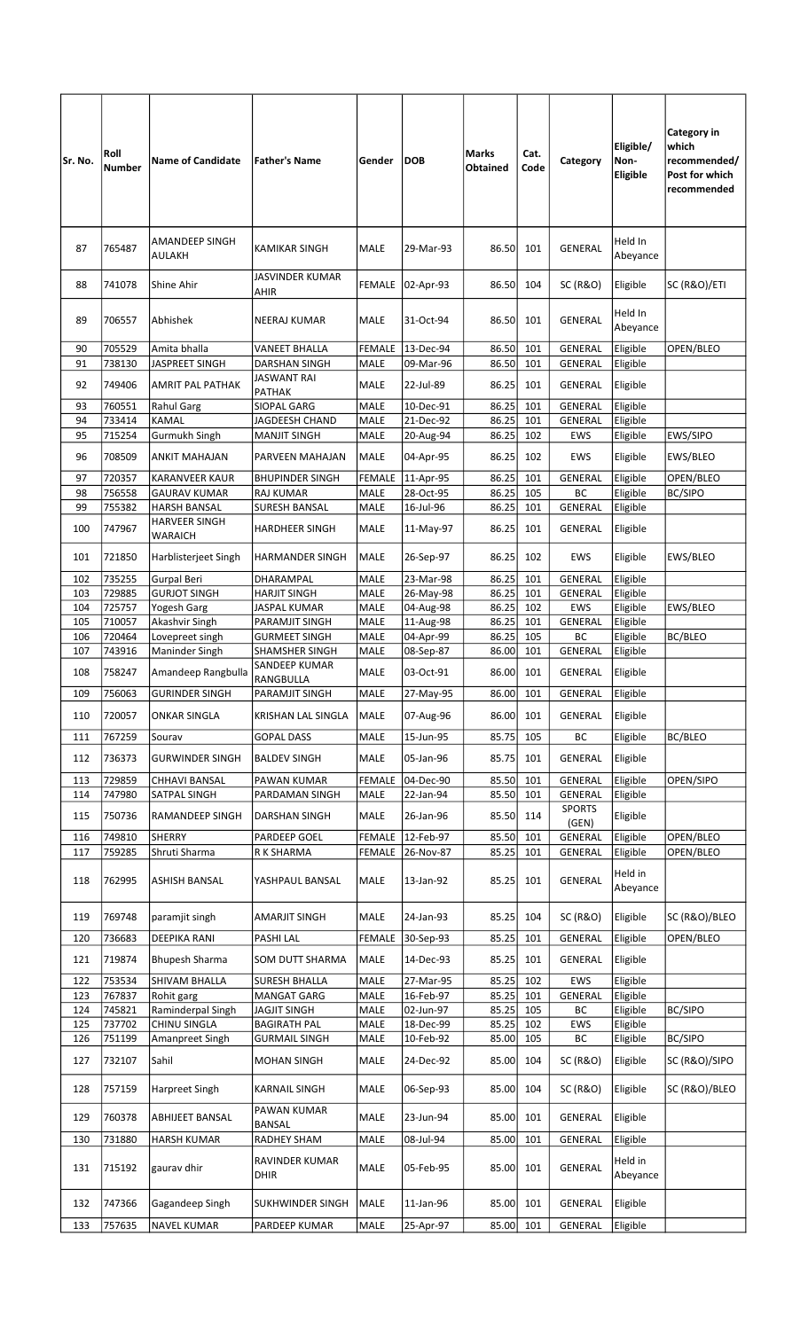| Sr. No.    | Roll<br>Number   | <b>Name of Candidate</b>                    | <b>Father's Name</b>                   | Gender                | <b>DOB</b>             | <b>Marks</b><br>Obtained | Cat.<br>Code | Category                         | Eligible/<br>Non-<br>Eligible | Category in<br>which<br>recommended/<br>Post for which<br>recommended |
|------------|------------------|---------------------------------------------|----------------------------------------|-----------------------|------------------------|--------------------------|--------------|----------------------------------|-------------------------------|-----------------------------------------------------------------------|
| 87         | 765487           | <b>AMANDEEP SINGH</b><br><b>AULAKH</b>      | <b>KAMIKAR SINGH</b>                   | <b>MALE</b>           | 29-Mar-93              | 86.50                    | 101          | <b>GENERAL</b>                   | Held In<br>Abeyance           |                                                                       |
| 88         | 741078           | Shine Ahir                                  | <b>JASVINDER KUMAR</b><br>AHIR         | FEMALE                | 02-Apr-93              | 86.50                    | 104          | <b>SC (R&amp;O)</b>              | Eligible                      | SC (R&O)/ETI                                                          |
| 89         | 706557           | Abhishek                                    | <b>NEERAJ KUMAR</b>                    | <b>MALE</b>           | 31-Oct-94              | 86.50                    | 101          | <b>GENERAL</b>                   | Held In<br>Abeyance           |                                                                       |
| 90         | 705529           | Amita bhalla                                | <b>VANEET BHALLA</b>                   | <b>FEMALE</b>         | 13-Dec-94              | 86.50                    | 101          | <b>GENERAL</b>                   | Eligible                      | OPEN/BLEO                                                             |
| 91         | 738130           | <b>JASPREET SINGH</b>                       | DARSHAN SINGH<br><b>JASWANT RAI</b>    | <b>MALE</b>           | 09-Mar-96              | 86.50                    | 101          | <b>GENERAL</b>                   | Eligible                      |                                                                       |
| 92         | 749406           | AMRIT PAL PATHAK                            | <b>PATHAK</b>                          | MALE                  | 22-Jul-89              | 86.25                    | 101          | <b>GENERAL</b>                   | Eligible                      |                                                                       |
| 93         | 760551           | <b>Rahul Garg</b>                           | SIOPAL GARG                            | <b>MALE</b>           | 10-Dec-91              | 86.25                    | 101          | <b>GENERAL</b>                   | Eligible                      |                                                                       |
| 94         | 733414           | <b>KAMAL</b>                                | JAGDEESH CHAND                         | MALE                  | 21-Dec-92              | 86.25                    | 101          | <b>GENERAL</b>                   | Eligible                      |                                                                       |
| 95         | 715254           | Gurmukh Singh                               | <b>MANJIT SINGH</b>                    | MALE                  | 20-Aug-94              | 86.25                    | 102          | EWS                              | Eligible                      | EWS/SIPO                                                              |
| 96         | 708509           | <b>ANKIT MAHAJAN</b>                        | PARVEEN MAHAJAN                        | <b>MALE</b>           | 04-Apr-95              | 86.25                    | 102          | <b>EWS</b>                       | Eligible                      | EWS/BLEO                                                              |
| 97         | 720357           | <b>KARANVEER KAUR</b>                       | <b>BHUPINDER SINGH</b>                 | <b>FEMALE</b>         | 11-Apr-95              | 86.25                    | 101          | <b>GENERAL</b>                   | Eligible                      | OPEN/BLEO                                                             |
| 98         | 756558           | <b>GAURAV KUMAR</b>                         | RAJ KUMAR                              | MALE                  | 28-Oct-95              | 86.25                    | 105          | BC                               | Eligible                      | BC/SIPO                                                               |
| 99         | 755382           | <b>HARSH BANSAL</b><br><b>HARVEER SINGH</b> | SURESH BANSAL                          | MALE                  | 16-Jul-96              | 86.25                    | 101          | <b>GENERAL</b>                   | Eligible                      |                                                                       |
| 100        | 747967           | <b>WARAICH</b>                              | <b>HARDHEER SINGH</b>                  | <b>MALE</b>           | 11-May-97              | 86.25                    | 101          | GENERAL                          | Eligible                      |                                                                       |
| 101        | 721850           | Harblisterjeet Singh                        | <b>HARMANDER SINGH</b>                 | MALE                  | 26-Sep-97              | 86.25                    | 102          | <b>EWS</b>                       | Eligible                      | EWS/BLEO                                                              |
| 102        | 735255           | <b>Gurpal Beri</b>                          | DHARAMPAL                              | <b>MALE</b>           | 23-Mar-98              | 86.25                    | 101          | <b>GENERAL</b>                   | Eligible                      |                                                                       |
| 103        | 729885           | <b>GURJOT SINGH</b>                         | <b>HARJIT SINGH</b>                    | <b>MALE</b>           | 26-May-98              | 86.25                    | 101          | GENERAL                          | Eligible                      |                                                                       |
| 104        | 725757           | <b>Yogesh Garg</b>                          | <b>JASPAL KUMAR</b>                    | <b>MALE</b>           | 04-Aug-98              | 86.25                    | 102          | <b>EWS</b>                       | Eligible                      | EWS/BLEO                                                              |
| 105<br>106 | 710057<br>720464 | Akashvir Singh<br>Lovepreet singh           | PARAMJIT SINGH<br><b>GURMEET SINGH</b> | <b>MALE</b><br>MALE   | 11-Aug-98<br>04-Apr-99 | 86.25<br>86.25           | 101<br>105   | <b>GENERAL</b><br>BC             | Eligible<br>Eligible          | BC/BLEO                                                               |
| 107        | 743916           | <b>Maninder Singh</b>                       | SHAMSHER SINGH                         | <b>MALE</b>           | 08-Sep-87              | 86.00                    | 101          | <b>GENERAL</b>                   | Eligible                      |                                                                       |
| 108        | 758247           | Amandeep Rangbulla                          | SANDEEP KUMAR<br>RANGBULLA             | <b>MALE</b>           | 03-Oct-91              | 86.00                    | 101          | GENERAL                          | Eligible                      |                                                                       |
| 109        | 756063           | <b>GURINDER SINGH</b>                       | PARAMJIT SINGH                         | <b>MALE</b>           | 27-May-95              | 86.00                    | 101          | GENERAL                          | Eligible                      |                                                                       |
| 110        | 720057           | ONKAR SINGLA                                | KRISHAN LAL SINGLA                     | <b>MALE</b>           | 07-Aug-96              | 86.00                    | 101          | <b>GENERAL</b>                   | Eligible                      |                                                                       |
| 111        | 767259           | Sourav                                      | <b>GOPAL DASS</b>                      | MALE                  | 15-Jun-95              | 85.75                    | 105          | ВC                               | Eligible                      | BC/BLEO                                                               |
| 112        | 736373           | GURWINDER SINGH                             | <b>BALDEV SINGH</b>                    | MALE                  | 05-Jan-96              | 85.75                    | 101          | <b>GENERAL</b>                   | Eligible                      |                                                                       |
| 113<br>114 | 729859<br>747980 | <b>CHHAVI BANSAL</b><br>SATPAL SINGH        | PAWAN KUMAR<br>PARDAMAN SINGH          | <b>FEMALE</b><br>MALE | 04-Dec-90<br>22-Jan-94 | 85.50<br>85.50           | 101<br>101   | <b>GENERAL</b><br><b>GENERAL</b> | Eligible<br>Eligible          | OPEN/SIPO                                                             |
|            |                  |                                             |                                        |                       |                        |                          |              | <b>SPORTS</b>                    |                               |                                                                       |
| 115        | 750736           | RAMANDEEP SINGH                             | <b>DARSHAN SINGH</b>                   | MALE                  | 26-Jan-96              | 85.50                    | 114          | (GEN)                            | Eligible                      |                                                                       |
| 116        | 749810           | <b>SHERRY</b>                               | PARDEEP GOEL                           | <b>FEMALE</b>         | 12-Feb-97              | 85.50                    | 101          | <b>GENERAL</b>                   | Eligible                      | OPEN/BLEO                                                             |
| 117        | 759285           | Shruti Sharma                               | R K SHARMA                             | FEMALE                | 26-Nov-87              | 85.25                    | 101          | <b>GENERAL</b>                   | Eligible                      | OPEN/BLEO                                                             |
| 118        | 762995           | <b>ASHISH BANSAL</b>                        | YASHPAUL BANSAL                        | MALE                  | 13-Jan-92              | 85.25                    | 101          | GENERAL                          | Held in<br>Abeyance           |                                                                       |
| 119        | 769748           | paramjit singh                              | AMARJIT SINGH                          | MALE                  | 24-Jan-93              | 85.25                    | 104          | SC (R&O)                         | Eligible                      | SC (R&O)/BLEO                                                         |
| 120        | 736683           | DEEPIKA RANI                                | PASHI LAL                              | FEMALE                | 30-Sep-93              | 85.25                    | 101          | <b>GENERAL</b>                   | Eligible                      | OPEN/BLEO                                                             |
| 121        | 719874           | <b>Bhupesh Sharma</b>                       | SOM DUTT SHARMA                        | <b>MALE</b>           | 14-Dec-93              | 85.25                    | 101          | GENERAL                          | Eligible                      |                                                                       |
| 122        | 753534           | <b>SHIVAM BHALLA</b>                        | <b>SURESH BHALLA</b>                   | MALE                  | 27-Mar-95              | 85.25                    | 102          | EWS                              | Eligible                      |                                                                       |
| 123        | 767837           | Rohit garg                                  | MANGAT GARG                            | MALE                  | 16-Feb-97              | 85.25                    | 101          | GENERAL                          | Eligible                      |                                                                       |
| 124        | 745821           | Raminderpal Singh                           | <b>JAGJIT SINGH</b>                    | MALE                  | 02-Jun-97              | 85.25                    | 105          | BC                               | Eligible                      | BC/SIPO                                                               |
| 125        | 737702           | CHINU SINGLA                                | <b>BAGIRATH PAL</b>                    | MALE                  | 18-Dec-99              | 85.25                    | 102          | EWS                              | Eligible                      |                                                                       |
| 126        | 751199           | Amanpreet Singh                             | <b>GURMAIL SINGH</b>                   | MALE                  | 10-Feb-92              | 85.00                    | 105          | ВC                               | Eligible                      | BC/SIPO                                                               |
| 127        | 732107           | Sahil                                       | <b>MOHAN SINGH</b>                     | MALE                  | 24-Dec-92              | 85.00                    | 104          | <b>SC (R&amp;O)</b>              | Eligible                      | SC (R&O)/SIPO                                                         |
| 128        | 757159           | Harpreet Singh                              | KARNAIL SINGH                          | MALE                  | 06-Sep-93              | 85.00                    | 104          | SC (R&O)                         | Eligible                      | SC (R&O)/BLEO                                                         |
| 129        | 760378           | ABHIJEET BANSAL                             | PAWAN KUMAR<br><b>BANSAL</b>           | MALE                  | 23-Jun-94              | 85.00                    | 101          | GENERAL                          | Eligible                      |                                                                       |
| 130        | 731880           | <b>HARSH KUMAR</b>                          | RADHEY SHAM                            | MALE                  | 08-Jul-94              | 85.00                    | 101          | <b>GENERAL</b>                   | Eligible                      |                                                                       |
| 131        | 715192           | gaurav dhir                                 | RAVINDER KUMAR<br><b>DHIR</b>          | MALE                  | 05-Feb-95              | 85.00                    | 101          | GENERAL                          | Held in<br>Abeyance           |                                                                       |
| 132        | 747366           | Gagandeep Singh                             | SUKHWINDER SINGH                       | MALE                  | 11-Jan-96              | 85.00                    | 101          | GENERAL                          | Eligible                      |                                                                       |
| 133        | 757635           | <b>NAVEL KUMAR</b>                          | PARDEEP KUMAR                          | MALE                  | 25-Apr-97              | 85.00                    | 101          | GENERAL                          | Eligible                      |                                                                       |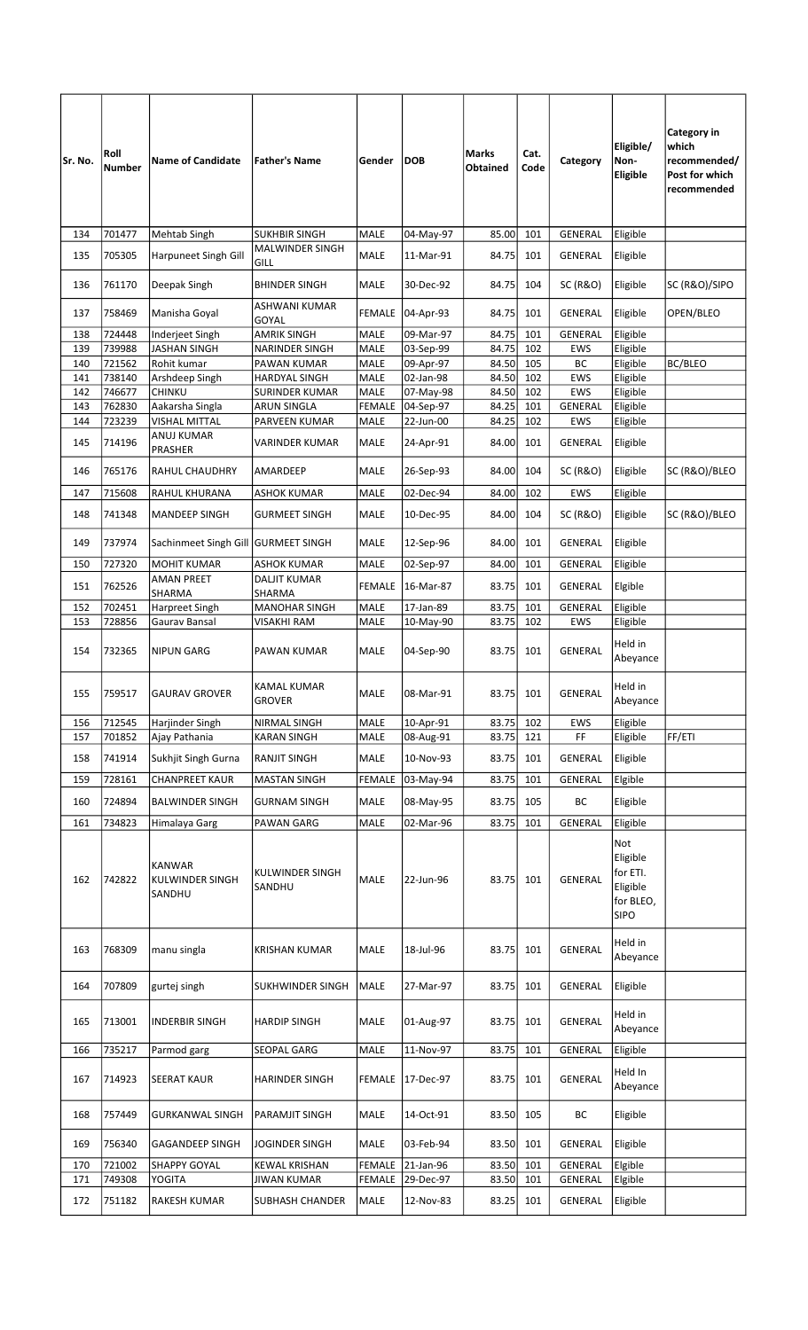| Sr. No. | Roll<br><b>Number</b> | <b>Name of Candidate</b>              | <b>Father's Name</b>                | Gender        | <b>DOB</b>   | Marks<br><b>Obtained</b> | Cat.<br>Code | Category                                                                                       | Eligible/<br>Non-<br>Eligible                                       | Category in<br>which<br>recommended/<br>Post for which<br>recommended |
|---------|-----------------------|---------------------------------------|-------------------------------------|---------------|--------------|--------------------------|--------------|------------------------------------------------------------------------------------------------|---------------------------------------------------------------------|-----------------------------------------------------------------------|
| 134     | 701477                | Mehtab Singh                          | <b>SUKHBIR SINGH</b>                | MALE          | 04-May-97    | 85.00                    | 101          | GENERAL                                                                                        | Eligible                                                            |                                                                       |
| 135     | 705305                | Harpuneet Singh Gill                  | MALWINDER SINGH<br>GILL             | MALE          | 11-Mar-91    | 84.75                    | 101          | <b>GENERAL</b>                                                                                 | Eligible                                                            |                                                                       |
| 136     | 761170                | Deepak Singh                          | <b>BHINDER SINGH</b>                | <b>MALE</b>   | 30-Dec-92    | 84.75                    | 104          | <b>SC (R&amp;O)</b>                                                                            | Eligible                                                            | SC (R&O)/SIPO                                                         |
| 137     | 758469                | Manisha Goyal                         | ASHWANI KUMAR<br><b>GOYAL</b>       | <b>FEMALE</b> | 04-Apr-93    | 84.75                    | 101          | GENERAL                                                                                        | Eligible                                                            | OPEN/BLEO                                                             |
| 138     | 724448                | Inderjeet Singh                       | <b>AMRIK SINGH</b>                  | MALE          | 09-Mar-97    | 84.75                    | 101          | <b>GENERAL</b>                                                                                 | Eligible                                                            |                                                                       |
| 139     | 739988                | <b>JASHAN SINGH</b>                   | <b>NARINDER SINGH</b>               | MALE          | 03-Sep-99    | 84.75                    | 102          | EWS                                                                                            | Eligible                                                            |                                                                       |
| 140     | 721562                | Rohit kumar                           | PAWAN KUMAR                         | MALE          | 09-Apr-97    | 84.50                    | 105          | BC                                                                                             | Eligible                                                            | BC/BLEO                                                               |
| 141     | 738140                | Arshdeep Singh                        | <b>HARDYAL SINGH</b>                | MALE          | 02-Jan-98    | 84.50                    | 102          | <b>EWS</b>                                                                                     | Eligible                                                            |                                                                       |
| 142     | 746677                | CHINKU                                | <b>SURINDER KUMAR</b>               | MALE          | 07-May-98    | 84.50                    | 102          | <b>EWS</b>                                                                                     | Eligible                                                            |                                                                       |
| 143     | 762830                | Aakarsha Singla                       | ARUN SINGLA                         | <b>FEMALE</b> | 04-Sep-97    | 84.25                    | 101          | GENERAL                                                                                        | Eligible                                                            |                                                                       |
| 144     | 723239                | <b>VISHAL MITTAL</b>                  | PARVEEN KUMAR                       | MALE          | 22-Jun-00    | 84.25                    | 102          | <b>EWS</b>                                                                                     | Eligible                                                            |                                                                       |
| 145     | 714196                | <b>ANUJ KUMAR</b><br><b>PRASHER</b>   | <b>VARINDER KUMAR</b>               | MALE          | 24-Apr-91    | 84.00                    | 101          | GENERAL                                                                                        | Eligible                                                            |                                                                       |
| 146     | 765176                | <b>RAHUL CHAUDHRY</b>                 | AMARDEEP                            | MALE          | 26-Sep-93    | 84.00                    | 104          | SC (R&O)                                                                                       | Eligible                                                            | SC (R&O)/BLEO                                                         |
| 147     | 715608                | RAHUL KHURANA                         | <b>ASHOK KUMAR</b>                  | MALE          | 02-Dec-94    | 84.00                    | 102          | <b>EWS</b>                                                                                     | Eligible                                                            |                                                                       |
| 148     | 741348                | <b>MANDEEP SINGH</b>                  | <b>GURMEET SINGH</b>                | MALE          | 10-Dec-95    | 84.00                    | 104          | <b>SC (R&amp;O)</b>                                                                            | Eligible                                                            | SC (R&O)/BLEO                                                         |
| 149     | 737974                | Sachinmeet Singh Gill   GURMEET SINGH |                                     | MALE          | 12-Sep-96    | 84.00                    | 101          | GENERAL                                                                                        | Eligible                                                            |                                                                       |
| 150     | 727320                | <b>MOHIT KUMAR</b>                    | <b>ASHOK KUMAR</b>                  | MALE          | 02-Sep-97    | 84.00                    | 101          | <b>GENERAL</b>                                                                                 | Eligible                                                            |                                                                       |
| 151     | 762526                | <b>AMAN PREET</b><br><b>SHARMA</b>    | <b>DALJIT KUMAR</b><br>SHARMA       | FEMALE        | 16-Mar-87    | 83.75                    | 101          | GENERAL                                                                                        | Elgible                                                             |                                                                       |
| 152     | 702451                | Harpreet Singh                        | <b>MANOHAR SINGH</b>                | MALE          | 17-Jan-89    | 83.75                    | 101          | <b>GENERAL</b>                                                                                 | Eligible                                                            |                                                                       |
| 153     | 728856                | Gaurav Bansal                         | <b>VISAKHI RAM</b>                  | MALE          | 10-May-90    | 83.75                    | 102          | EWS                                                                                            | Eligible                                                            |                                                                       |
| 154     | 732365                | NIPUN GARG                            | PAWAN KUMAR                         | MALE          | 04-Sep-90    | 83.75                    | 101          | <b>GENERAL</b>                                                                                 | Held in<br>Abeyance                                                 |                                                                       |
| 155     | 759517                | GAURAV GROVER                         | <b>KAMAL KUMAR</b><br><b>GROVER</b> | MALE          | 08-Mar-91    | 83.75                    | 101          | GENERAL                                                                                        | Held in<br>Abeyance                                                 |                                                                       |
| 156     | 712545                | Harjinder Singh                       | <b>NIRMAL SINGH</b>                 | MALE          | 10-Apr-91    | 83.75                    | 102          | EWS                                                                                            | Eligible                                                            |                                                                       |
| 157     | 701852                | Ajay Pathania                         | <b>KARAN SINGH</b>                  | MALE          | 08-Aug-91    | 83.75                    | 121          | $\mathsf{FF}% _{0}\left( \mathcal{F}_{0}\right) =\mathsf{FF}_{0}\left( \mathcal{F}_{0}\right)$ | Eligible                                                            | FF/ETI                                                                |
| 158     | 741914                | Sukhjit Singh Gurna                   | <b>RANJIT SINGH</b>                 | MALE          | 10-Nov-93    | 83.75                    | 101          | GENERAL                                                                                        | Eligible                                                            |                                                                       |
|         |                       |                                       |                                     |               |              |                          |              |                                                                                                |                                                                     |                                                                       |
| 159     | 728161                | <b>CHANPREET KAUR</b>                 | <b>MASTAN SINGH</b>                 | FEMALE        | 03-May-94    | 83.75                    | 101          | GENERAL                                                                                        | Elgible                                                             |                                                                       |
| 160     | 724894                | <b>BALWINDER SINGH</b>                | <b>GURNAM SINGH</b>                 | MALE          | 08-May-95    | 83.75                    | 105          | BC                                                                                             | Eligible                                                            |                                                                       |
|         |                       |                                       |                                     |               |              |                          |              |                                                                                                |                                                                     |                                                                       |
| 161     | 734823                | Himalaya Garg                         | PAWAN GARG                          | MALE          | 02-Mar-96    | 83.75                    | 101          | <b>GENERAL</b>                                                                                 | Eligible                                                            |                                                                       |
| 162     | 742822                | KANWAR<br>KULWINDER SINGH<br>SANDHU   | KULWINDER SINGH<br>SANDHU           | MALE          | 22-Jun-96    | 83.75                    | 101          | <b>GENERAL</b>                                                                                 | Not<br>Eligible<br>for ETI.<br>Eligible<br>for BLEO,<br><b>SIPO</b> |                                                                       |
| 163     | 768309                | manu singla                           | <b>KRISHAN KUMAR</b>                | MALE          | 18-Jul-96    | 83.75                    | 101          | GENERAL                                                                                        | Held in<br>Abeyance                                                 |                                                                       |
| 164     | 707809                | gurtej singh                          | SUKHWINDER SINGH                    | MALE          | 27-Mar-97    | 83.75                    | 101          | GENERAL                                                                                        | Eligible                                                            |                                                                       |
| 165     | 713001                | <b>INDERBIR SINGH</b>                 | <b>HARDIP SINGH</b>                 | MALE          | 01-Aug-97    | 83.75                    | 101          | <b>GENERAL</b>                                                                                 | Held in<br>Abeyance                                                 |                                                                       |
| 166     | 735217                | Parmod garg                           | SEOPAL GARG                         | MALE          | 11-Nov-97    | 83.75                    | 101          | <b>GENERAL</b>                                                                                 | Eligible                                                            |                                                                       |
| 167     | 714923                | SEERAT KAUR                           | <b>HARINDER SINGH</b>               | FEMALE        | 17-Dec-97    | 83.75                    | 101          | <b>GENERAL</b>                                                                                 | Held In<br>Abeyance                                                 |                                                                       |
| 168     | 757449                | <b>GURKANWAL SINGH</b>                | PARAMJIT SINGH                      | MALE          | 14-Oct-91    | 83.50                    | 105          | BC                                                                                             | Eligible                                                            |                                                                       |
| 169     | 756340                | <b>GAGANDEEP SINGH</b>                | <b>JOGINDER SINGH</b>               | MALE          | 03-Feb-94    | 83.50                    | 101          | <b>GENERAL</b>                                                                                 | Eligible                                                            |                                                                       |
| 170     | 721002                | <b>SHAPPY GOYAL</b>                   | <b>KEWAL KRISHAN</b>                | FEMALE        | $21$ -Jan-96 | 83.50                    | 101          | <b>GENERAL</b>                                                                                 | Elgible                                                             |                                                                       |
| 171     | 749308                | YOGITA                                | <b>JIWAN KUMAR</b>                  | FEMALE        | 29-Dec-97    | 83.50                    | 101          | <b>GENERAL</b>                                                                                 | Elgible                                                             |                                                                       |
| 172     | 751182                | <b>RAKESH KUMAR</b>                   | <b>SUBHASH CHANDER</b>              | MALE          | 12-Nov-83    | 83.25                    | 101          | GENERAL                                                                                        | Eligible                                                            |                                                                       |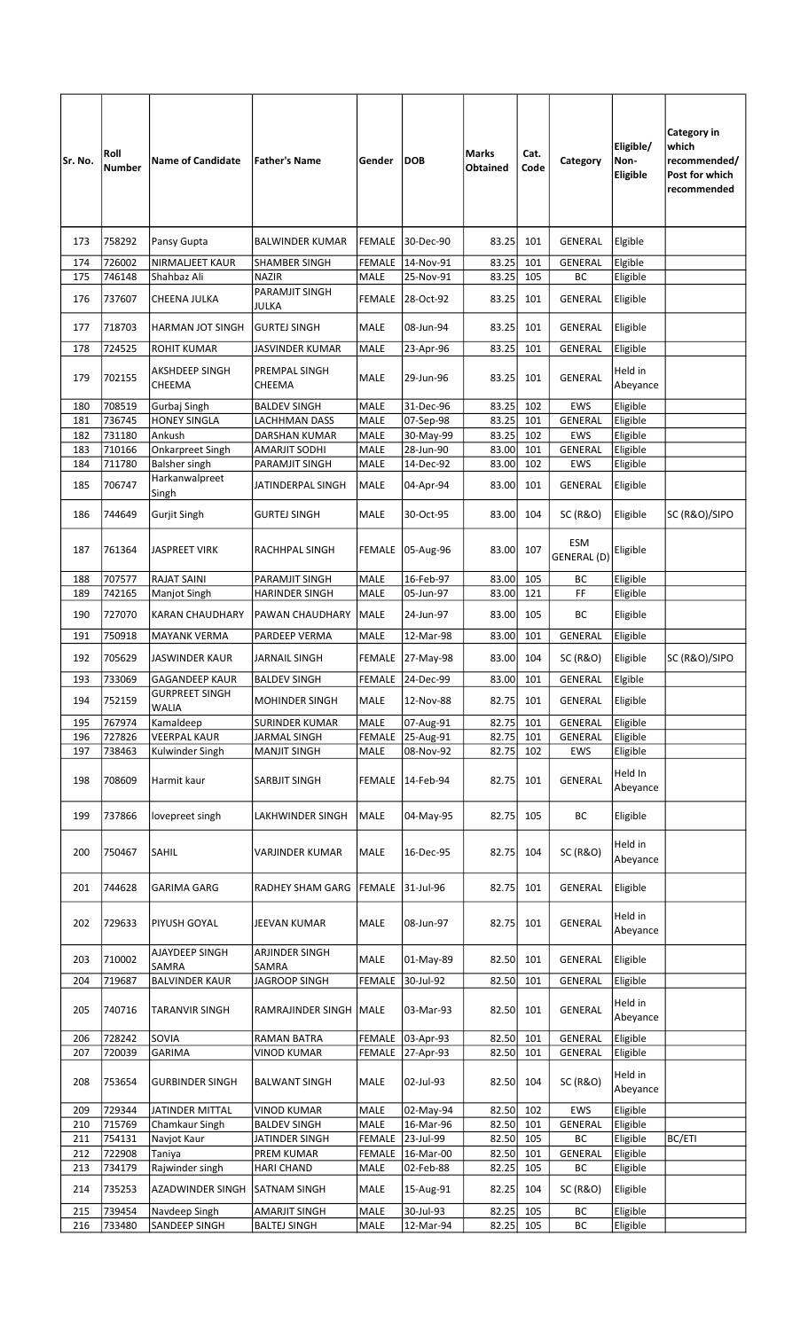| lSr. No.   | Roll<br>Number   | <b>Name of Candidate</b>                         | <b>Father's Name</b>           | Gender        | <b>DOB</b>             | <b>Marks</b><br><b>Obtained</b> | Cat.<br>Code | Category                  | Eligible/<br>Non-<br>Eligible | Category in<br>which<br>recommended/<br>Post for which<br>recommended |
|------------|------------------|--------------------------------------------------|--------------------------------|---------------|------------------------|---------------------------------|--------------|---------------------------|-------------------------------|-----------------------------------------------------------------------|
| 173        | 758292           | Pansy Gupta                                      | <b>BALWINDER KUMAR</b>         | <b>FEMALE</b> | 30-Dec-90              | 83.25                           | 101          | <b>GENERAL</b>            | Elgible                       |                                                                       |
| 174        | 726002           | <b>NIRMALJEET KAUR</b>                           | SHAMBER SINGH                  | <b>FEMALE</b> | 14-Nov-91              | 83.25                           | 101          | <b>GENERAL</b>            | Elgible                       |                                                                       |
| 175        | 746148           | Shahbaz Ali                                      | <b>NAZIR</b>                   | <b>MALE</b>   | 25-Nov-91              | 83.25                           | 105          | BC                        | Eligible                      |                                                                       |
| 176        | 737607           | CHEENA JULKA                                     | PARAMJIT SINGH<br>JULKA        | <b>FEMALE</b> | 28-Oct-92              | 83.25                           | 101          | GENERAL                   | Eligible                      |                                                                       |
| 177        | 718703           | <b>HARMAN JOT SINGH</b>                          | <b>GURTEJ SINGH</b>            | MALE          | 08-Jun-94              | 83.25                           | 101          | GENERAL                   | Eligible                      |                                                                       |
| 178        | 724525           | ROHIT KUMAR                                      | JASVINDER KUMAR                | MALE          | 23-Apr-96              | 83.25                           | 101          | <b>GENERAL</b>            | Eligible                      |                                                                       |
| 179        | 702155           | AKSHDEEP SINGH<br><b>CHEEMA</b>                  | <b>PREMPAL SINGH</b><br>CHEEMA | MALE          | 29-Jun-96              | 83.25                           | 101          | <b>GENERAL</b>            | Held in<br>Abeyance           |                                                                       |
| 180        | 708519           | Gurbaj Singh                                     | <b>BALDEV SINGH</b>            | MALE          | 31-Dec-96              | 83.25                           | 102          | EWS                       | Eligible                      |                                                                       |
| 181        | 736745           | <b>HONEY SINGLA</b>                              | <b>LACHHMAN DASS</b>           | <b>MALE</b>   | 07-Sep-98              | 83.25                           | 101          | GENERAL                   | Eligible                      |                                                                       |
| 182        | 731180           | Ankush                                           | DARSHAN KUMAR                  | <b>MALE</b>   | 30-May-99              | 83.25                           | 102          | <b>EWS</b>                | Eligible                      |                                                                       |
| 183        | 710166           | Onkarpreet Singh                                 | <b>AMARJIT SODHI</b>           | MALE          | 28-Jun-90              | 83.00                           | 101          | <b>GENERAL</b>            | Eligible                      |                                                                       |
| 184        | 711780           | Balsher singh                                    | PARAMJIT SINGH                 | MALE          | 14-Dec-92              | 83.00                           | 102          | EWS                       | Eligible                      |                                                                       |
| 185        | 706747           | Harkanwalpreet<br>Singh                          | JATINDERPAL SINGH              | MALE          | 04-Apr-94              | 83.00                           | 101          | GENERAL                   | Eligible                      |                                                                       |
| 186        | 744649           | Gurjit Singh                                     | <b>GURTEJ SINGH</b>            | MALE          | 30-Oct-95              | 83.00                           | 104          | SC (R&O)                  | Eligible                      | SC (R&O)/SIPO                                                         |
| 187        | 761364           | <b>JASPREET VIRK</b>                             | RACHHPAL SINGH                 | <b>FEMALE</b> | 05-Aug-96              | 83.00                           | 107          | ESM<br><b>GENERAL (D)</b> | Eligible                      |                                                                       |
| 188        | 707577           | <b>RAJAT SAINI</b>                               | PARAMJIT SINGH                 | MALE          | 16-Feb-97              | 83.00                           | 105          | ВC                        | Eligible                      |                                                                       |
| 189        | 742165           | Manjot Singh                                     | <b>HARINDER SINGH</b>          | MALE          | 05-Jun-97              | 83.00                           | 121          | FF                        | Eligible                      |                                                                       |
| 190        | 727070           | <b>KARAN CHAUDHARY</b>                           | PAWAN CHAUDHARY                | MALE          | 24-Jun-97              | 83.00                           | 105          | BС                        | Eligible                      |                                                                       |
| 191        | 750918           | <b>MAYANK VERMA</b>                              | PARDEEP VERMA                  | MALE          | 12-Mar-98              | 83.00                           | 101          | <b>GENERAL</b>            | Eligible                      |                                                                       |
| 192        | 705629           | JASWINDER KAUR                                   | JARNAIL SINGH                  | FEMALE        | 27-May-98              | 83.00                           | 104          | SC (R&O)                  | Eligible                      | SC (R&O)/SIPO                                                         |
| 193        | 733069           | GAGANDEEP KAUR                                   | <b>BALDEV SINGH</b>            | <b>FEMALE</b> | 24-Dec-99              | 83.00                           | 101          | GENERAL                   | Elgible                       |                                                                       |
| 194        | 752159           | <b>GURPREET SINGH</b><br><b>WALIA</b>            | <b>MOHINDER SINGH</b>          | MALE          | 12-Nov-88              | 82.75                           | 101          | GENERAL                   | Eligible                      |                                                                       |
| 195        | 767974           | Kamaldeep                                        | <b>SURINDER KUMAR</b>          | MALE          | 07-Aug-91              | 82.75                           | 101          | <b>GENERAL</b>            | Eligible                      |                                                                       |
| 196        | 727826           | <b>VEERPAL KAUR</b>                              | <b>JARMAL SINGH</b>            | <b>FEMALE</b> | 25-Aug-91              | 82.75                           | 101          | <b>GENERAL</b>            | Eligible                      |                                                                       |
| 197        | 738463           | Kulwinder Singh                                  | <b>MANJIT SINGH</b>            | MALE          | 08-Nov-92              | 82.75                           | 102          | EWS                       | Eligible                      |                                                                       |
| 198        | 708609           | Harmit kaur                                      | SARBJIT SINGH                  | <b>FEMALE</b> | 14-Feb-94              | 82.75                           | 101          | <b>GENERAL</b>            | Held In<br>Abeyance           |                                                                       |
| 199        | 737866           | lovepreet singh                                  | LAKHWINDER SINGH               | MALE          | 04-May-95              | 82.75                           | 105          | ВC                        | Eligible                      |                                                                       |
| 200        | 750467           | <b>SAHIL</b>                                     | <b>VARJINDER KUMAR</b>         | MALE          | 16-Dec-95              | 82.75                           | 104          | <b>SC (R&amp;O)</b>       | Held in<br>Abeyance           |                                                                       |
| 201        | 744628           | <b>GARIMA GARG</b>                               | RADHEY SHAM GARG               | FEMALE        | 31-Jul-96              | 82.75                           | 101          | GENERAL                   | Eligible                      |                                                                       |
| 202        | 729633           | PIYUSH GOYAL                                     | JEEVAN KUMAR                   | MALE          | 08-Jun-97              | 82.75                           | 101          | GENERAL                   | Held in<br>Abeyance           |                                                                       |
| 203        | 710002           | AJAYDEEP SINGH<br>SAMRA                          | ARJINDER SINGH<br>SAMRA        | MALE          | 01-May-89              | 82.50                           | 101          | GENERAL                   | Eligible                      |                                                                       |
| 204        | 719687           | <b>BALVINDER KAUR</b>                            | JAGROOP SINGH                  | <b>FEMALE</b> | 30-Jul-92              | 82.50                           | 101          | <b>GENERAL</b>            | Eligible                      |                                                                       |
| 205        | 740716           | <b>TARANVIR SINGH</b>                            | RAMRAJINDER SINGH   MALE       |               | 03-Mar-93              | 82.50                           | 101          | <b>GENERAL</b>            | Held in<br>Abeyance           |                                                                       |
| 206        | 728242           | SOVIA                                            | RAMAN BATRA                    | <b>FEMALE</b> | 03-Apr-93              | 82.50                           | 101          | GENERAL                   | Eligible                      |                                                                       |
| 207        | 720039           | <b>GARIMA</b>                                    | <b>VINOD KUMAR</b>             | <b>FEMALE</b> | 27-Apr-93              | 82.50                           | 101          | <b>GENERAL</b>            | Eligible                      |                                                                       |
| 208        | 753654           | <b>GURBINDER SINGH</b>                           | <b>BALWANT SINGH</b>           | MALE          | 02-Jul-93              | 82.50                           | 104          | <b>SC (R&amp;O)</b>       | Held in<br>Abeyance           |                                                                       |
| 209        | 729344           | <b>JATINDER MITTAL</b>                           | <b>VINOD KUMAR</b>             | MALE          | 02-May-94              | 82.50                           | 102          | EWS                       | Eligible                      |                                                                       |
| 210        | 715769           | Chamkaur Singh                                   | <b>BALDEV SINGH</b>            | MALE          | 16-Mar-96              | 82.50                           | 101          | <b>GENERAL</b>            | Eligible                      |                                                                       |
| 211        | 754131           | Navjot Kaur                                      | JATINDER SINGH                 | <b>FEMALE</b> | 23-Jul-99              | 82.50                           | 105          | ВC                        | Eligible                      | BC/ETI                                                                |
| 212        | 722908           | Taniya                                           | PREM KUMAR                     | <b>FEMALE</b> | 16-Mar-00              | 82.50                           | 101          | <b>GENERAL</b>            | Eligible                      |                                                                       |
| 213<br>214 | 734179<br>735253 | Rajwinder singh<br>AZADWINDER SINGH SATNAM SINGH | HARI CHAND                     | MALE<br>MALE  | 02-Feb-88<br>15-Aug-91 | 82.25<br>82.25                  | 105<br>104   | ВC<br><b>SC (R&amp;O)</b> | Eligible<br>Eligible          |                                                                       |
| 215        | 739454           | Navdeep Singh                                    | AMARJIT SINGH                  | MALE          | 30-Jul-93              | 82.25                           | 105          | BC                        | Eligible                      |                                                                       |
| 216        | 733480           | <b>SANDEEP SINGH</b>                             | <b>BALTEJ SINGH</b>            | MALE          | 12-Mar-94              | 82.25                           | 105          | ВC                        | Eligible                      |                                                                       |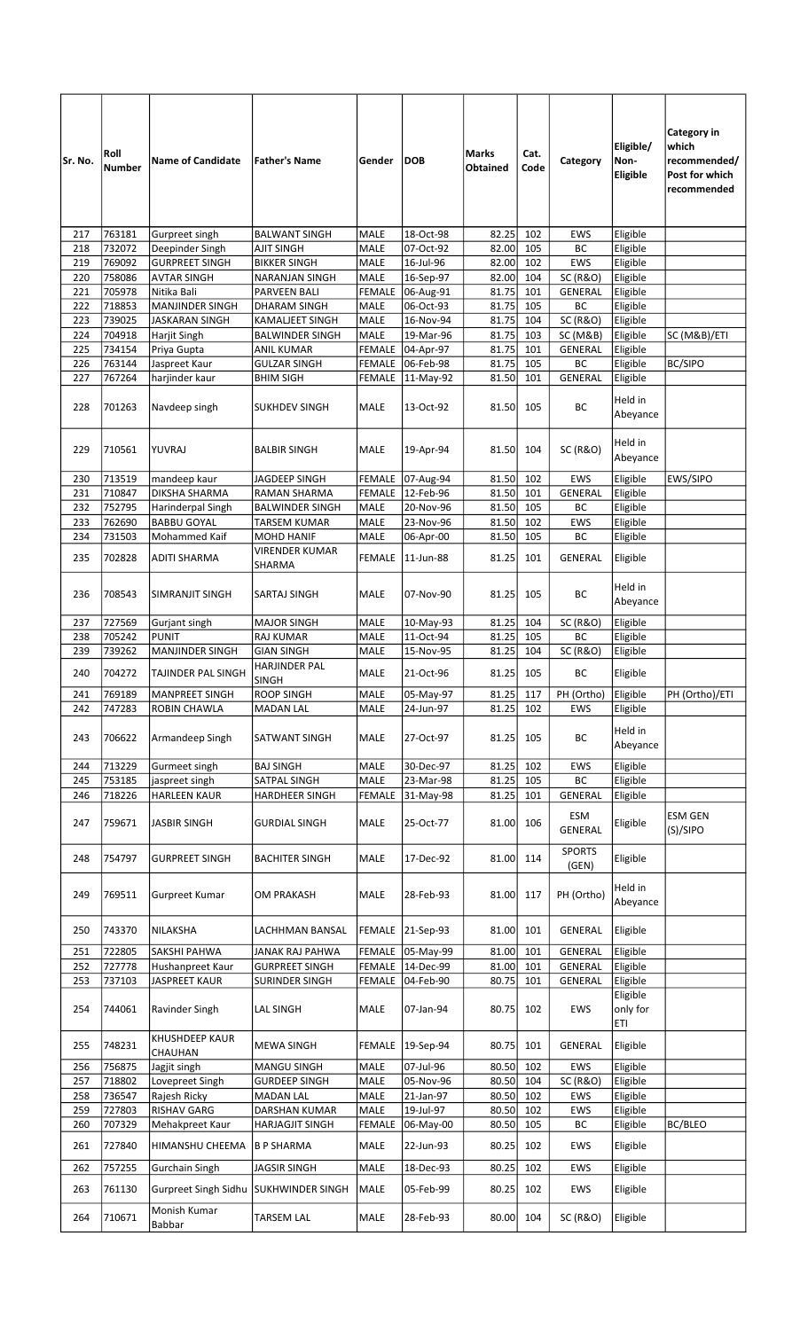| lSr. No.   | Roll<br><b>Number</b> | <b>Name of Candidate</b>                              | <b>Father's Name</b>                       | Gender                       | <b>DOB</b>             | <b>Marks</b><br><b>Obtained</b> | Cat.<br>Code | Category                  | Eligible/<br>Non-<br>Eligible | Category in<br>which<br>recommended/<br>Post for which<br>recommended |
|------------|-----------------------|-------------------------------------------------------|--------------------------------------------|------------------------------|------------------------|---------------------------------|--------------|---------------------------|-------------------------------|-----------------------------------------------------------------------|
| 217        | 763181                | Gurpreet singh                                        | <b>BALWANT SINGH</b>                       | MALE                         | 18-Oct-98              | 82.25                           | 102          | EWS                       | Eligible                      |                                                                       |
| 218        | 732072                | Deepinder Singh                                       | <b>AJIT SINGH</b>                          | MALE                         | 07-Oct-92              | 82.00                           | 105          | ВC                        | Eligible                      |                                                                       |
| 219        | 769092                | <b>GURPREET SINGH</b>                                 | <b>BIKKER SINGH</b>                        | MALE                         | 16-Jul-96              | 82.00                           | 102          | EWS                       | Eligible                      |                                                                       |
| 220        | 758086                | <b>AVTAR SINGH</b>                                    | NARANJAN SINGH                             | MALE                         | 16-Sep-97              | 82.00                           | 104          | <b>SC (R&amp;O)</b>       | Eligible                      |                                                                       |
| 221<br>222 | 705978<br>718853      | Nitika Bali<br><b>MANJINDER SINGH</b>                 | <b>PARVEEN BALI</b><br><b>DHARAM SINGH</b> | <b>FEMALE</b><br><b>MALE</b> | 06-Aug-91<br>06-Oct-93 | 81.75<br>81.75                  | 101<br>105   | <b>GENERAL</b><br>ВC      | Eligible<br>Eligible          |                                                                       |
| 223        | 739025                | <b>JASKARAN SINGH</b>                                 | KAMALJEET SINGH                            | MALE                         | 16-Nov-94              | 81.75                           | 104          | <b>SC (R&amp;O)</b>       | Eligible                      |                                                                       |
| 224        | 704918                | Harjit Singh                                          | <b>BALWINDER SINGH</b>                     | MALE                         | 19-Mar-96              | 81.75                           | 103          | SC (M&B)                  | Eligible                      | SC (M&B)/ETI                                                          |
| 225        | 734154                | Priya Gupta                                           | <b>ANIL KUMAR</b>                          | FEMALE                       | 04-Apr-97              | 81.75                           | 101          | <b>GENERAL</b>            | Eligible                      |                                                                       |
| 226        | 763144                | Jaspreet Kaur                                         | <b>GULZAR SINGH</b>                        | <b>FEMALE</b>                | 06-Feb-98              | 81.75                           | 105          | ВC                        | Eligible                      | <b>BC/SIPO</b>                                                        |
| 227        | 767264                | harjinder kaur                                        | <b>BHIM SIGH</b>                           | FEMALE                       | 11-May-92              | 81.50                           | 101          | GENERAL                   | Eligible                      |                                                                       |
| 228        | 701263                | Navdeep singh                                         | SUKHDEV SINGH                              | MALE                         | 13-Oct-92              | 81.50                           | 105          | BС                        | Held in<br>Abeyance           |                                                                       |
| 229        | 710561                | YUVRAJ                                                | <b>BALBIR SINGH</b>                        | MALE                         | 19-Apr-94              | 81.50                           | 104          | <b>SC (R&amp;O)</b>       | Held in<br>Abeyance           |                                                                       |
| 230        | 713519                | mandeep kaur                                          | JAGDEEP SINGH                              | FEMALE                       | 07-Aug-94              | 81.50                           | 102          | EWS                       | Eligible                      | EWS/SIPO                                                              |
| 231<br>232 | 710847<br>752795      | DIKSHA SHARMA<br>Harinderpal Singh                    | RAMAN SHARMA<br><b>BALWINDER SINGH</b>     | <b>FEMALE</b><br>MALE        | 12-Feb-96<br>20-Nov-96 | 81.50<br>81.50                  | 101<br>105   | GENERAL<br>ВC             | Eligible<br>Eligible          |                                                                       |
| 233        | 762690                | <b>BABBU GOYAL</b>                                    | <b>TARSEM KUMAR</b>                        | <b>MALE</b>                  | 23-Nov-96              | 81.50                           | 102          | <b>EWS</b>                | Eligible                      |                                                                       |
| 234        | 731503                | Mohammed Kaif                                         | <b>MOHD HANIF</b>                          | MALE                         | 06-Apr-00              | 81.50                           | 105          | ВC                        | Eligible                      |                                                                       |
| 235        | 702828                | <b>ADITI SHARMA</b>                                   | VIRENDER KUMAR<br>SHARMA                   | <b>FEMALE</b>                | 11-Jun-88              | 81.25                           | 101          | GENERAL                   | Eligible                      |                                                                       |
| 236        | 708543                | SIMRANJIT SINGH                                       | SARTAJ SINGH                               | MALE                         | 07-Nov-90              | 81.25                           | 105          | ВC                        | Held in<br>Abeyance           |                                                                       |
| 237        | 727569                | Gurjant singh                                         | <b>MAJOR SINGH</b>                         | MALE                         | 10-May-93              | 81.25                           | 104          | <b>SC (R&amp;O)</b>       | Eligible                      |                                                                       |
| 238<br>239 | 705242<br>739262      | <b>PUNIT</b><br><b>MANJINDER SINGH</b>                | <b>RAJ KUMAR</b>                           | MALE                         | 11-Oct-94<br>15-Nov-95 | 81.25<br>81.25                  | 105<br>104   | BC<br><b>SC (R&amp;O)</b> | Eligible<br>Eligible          |                                                                       |
|            |                       |                                                       | <b>GIAN SINGH</b><br>HARJINDER PAL         | MALE                         |                        |                                 |              |                           |                               |                                                                       |
| 240        | 704272                | <b>TAJINDER PAL SINGH</b>                             | SINGH                                      | MALE                         | 21-Oct-96              | 81.25                           | 105          | <b>BC</b>                 | Eligible                      |                                                                       |
| 241        | 769189                | MANPREET SINGH                                        | <b>ROOP SINGH</b>                          | MALE                         | 05-May-97              | 81.25                           | 117          | PH (Ortho)                | Eligible                      | PH (Ortho)/ETI                                                        |
| 242        | 747283                | ROBIN CHAWLA                                          | <b>MADAN LAL</b>                           | MALE                         | 24-Jun-97              | 81.25                           | 102          | EWS                       | Eligible                      |                                                                       |
| 243        | 706622                | Armandeep Singh                                       | <b>SATWANT SINGH</b>                       | MALE                         | 27-Oct-97              | 81.25                           | 105          | ВC                        | Held in<br>Abeyance           |                                                                       |
| 244        | 713229                | Gurmeet singh                                         | <b>BAJ SINGH</b>                           | MALE                         | 30-Dec-97              | 81.25                           | 102          | EWS                       | Eligible                      |                                                                       |
| 245        | 753185                | jaspreet singh                                        | SATPAL SINGH                               | MALE                         | 23-Mar-98              | 81.25                           | 105          | ВC                        | Eligible                      |                                                                       |
| 246        | 718226                | <b>HARLEEN KAUR</b>                                   | HARDHEER SINGH                             | <b>FEMALE</b>                | 31-May-98              | 81.25                           | 101          | GENERAL                   | Eligible                      |                                                                       |
| 247        | 759671                | JASBIR SINGH                                          | <b>GURDIAL SINGH</b>                       | MALE                         | 25-Oct-77              | 81.00                           | 106          | ESM<br>GENERAL            | Eligible                      | <b>ESM GEN</b><br>(S)/SIPO                                            |
| 248        | 754797                | <b>GURPREET SINGH</b>                                 | <b>BACHITER SINGH</b>                      | MALE                         | 17-Dec-92              | 81.00                           | 114          | <b>SPORTS</b><br>(GEN)    | Eligible                      |                                                                       |
| 249        | 769511                | Gurpreet Kumar                                        | OM PRAKASH                                 | MALE                         | 28-Feb-93              | 81.00                           | 117          | PH (Ortho)                | Held in<br>Abeyance           |                                                                       |
| 250        | 743370<br>722805      | NILAKSHA<br>SAKSHI PAHWA                              | LACHHMAN BANSAL                            | <b>FEMALE</b>                | 21-Sep-93              | 81.00<br>81.00                  | 101<br>101   | GENERAL                   | Eligible<br>Eligible          |                                                                       |
| 251<br>252 | 727778                | Hushanpreet Kaur                                      | JANAK RAJ PAHWA<br><b>GURPREET SINGH</b>   | FEMALE<br>FEMALE             | 05-May-99<br>14-Dec-99 | 81.00                           | 101          | GENERAL<br>GENERAL        | Eligible                      |                                                                       |
| 253        | 737103                | <b>JASPREET KAUR</b>                                  | SURINDER SINGH                             | FEMALE                       | 04-Feb-90              | 80.75                           | 101          | GENERAL                   | Eligible                      |                                                                       |
| 254        | 744061                | Ravinder Singh                                        | <b>LAL SINGH</b>                           | MALE                         | 07-Jan-94              | 80.75                           | 102          | EWS                       | Eligible<br>only for<br>ETI   |                                                                       |
| 255        | 748231                | KHUSHDEEP KAUR<br>CHAUHAN                             | MEWA SINGH                                 | FEMALE                       | 19-Sep-94              | 80.75                           | 101          | GENERAL                   | Eligible                      |                                                                       |
| 256        | 756875                | Jagjit singh                                          | MANGU SINGH                                | MALE                         | 07-Jul-96              | 80.50                           | 102          | EWS                       | Eligible                      |                                                                       |
| 257<br>258 | 718802<br>736547      | Lovepreet Singh<br>Rajesh Ricky                       | <b>GURDEEP SINGH</b>                       | MALE<br>MALE                 | 05-Nov-96<br>21-Jan-97 | 80.50<br>80.50                  | 104<br>102   | <b>SC (R&amp;O)</b>       | Eligible<br>Eligible          |                                                                       |
| 259        | 727803                | <b>RISHAV GARG</b>                                    | <b>MADAN LAL</b><br>DARSHAN KUMAR          | MALE                         | 19-Jul-97              | 80.50                           | 102          | EWS<br>EWS                | Eligible                      |                                                                       |
| 260        | 707329                | Mehakpreet Kaur                                       | <b>HARJAGJIT SINGH</b>                     | <b>FEMALE</b>                | 06-May-00              | 80.50                           | 105          | ВC                        | Eligible                      | BC/BLEO                                                               |
| 261        | 727840                | HIMANSHU CHEEMA                                       | <b>B P SHARMA</b>                          | MALE                         | 22-Jun-93              | 80.25                           | 102          | EWS                       | Eligible                      |                                                                       |
|            |                       |                                                       |                                            |                              |                        |                                 |              |                           |                               |                                                                       |
| 262        | 757255                | Gurchain Singh                                        | <b>JAGSIR SINGH</b>                        | MALE                         | 18-Dec-93              | 80.25                           | 102          | <b>EWS</b>                | Eligible                      |                                                                       |
| 263        | 761130                | Gurpreet Singh Sidhu SUKHWINDER SINGH<br>Monish Kumar |                                            | MALE                         | 05-Feb-99              | 80.25                           | 102          | EWS                       | Eligible                      |                                                                       |
| 264        | 710671                | Babbar                                                | <b>TARSEM LAL</b>                          | MALE                         | 28-Feb-93              | 80.00                           | 104          | <b>SC (R&amp;O)</b>       | Eligible                      |                                                                       |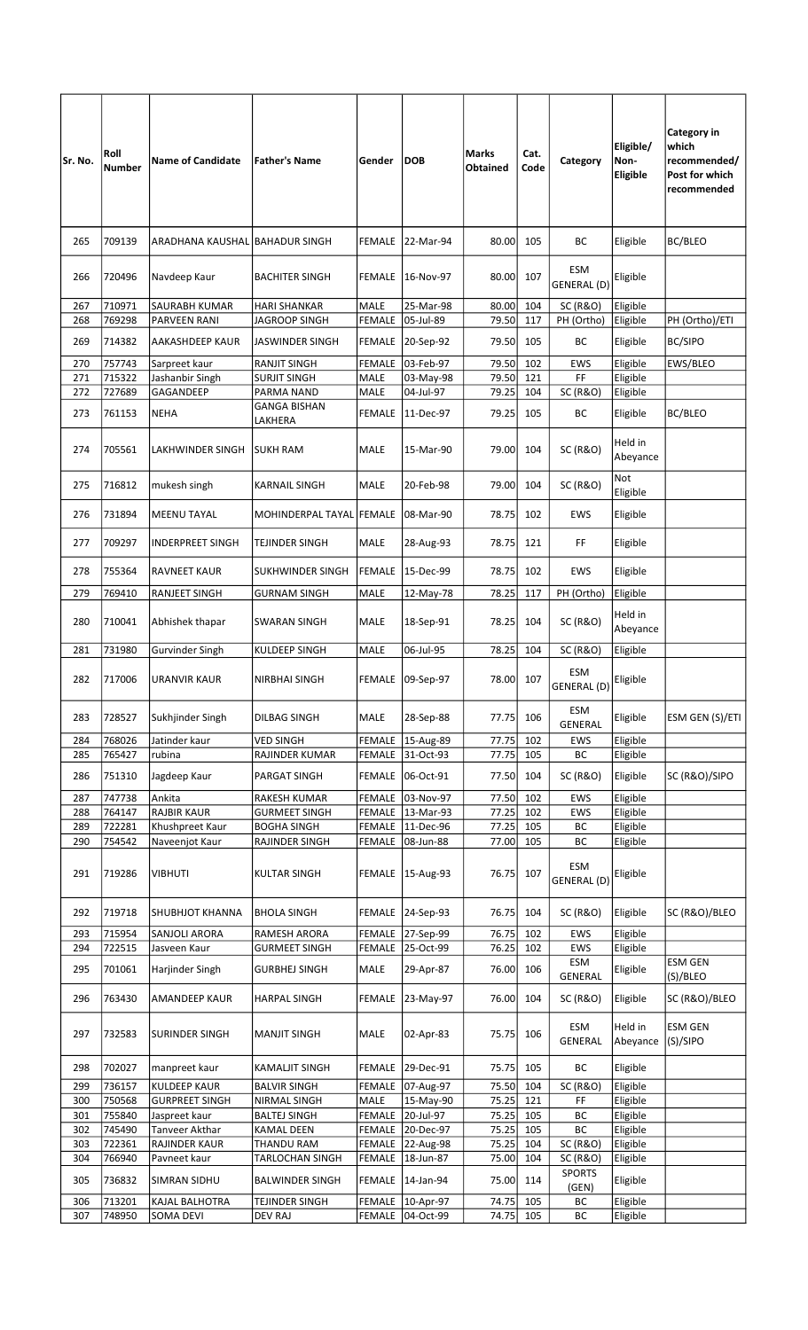| Sr. No.    | Roll<br><b>Number</b> | <b>Name of Candidate</b>         | <b>Father's Name</b>                       | Gender                  | <b>DOB</b>             | <b>Marks</b><br><b>Obtained</b> | Cat.<br>Code | Category                                   | Eligible/<br>Non-<br>Eligible | <b>Category in</b><br>which<br>recommended/<br>Post for which<br>recommended |
|------------|-----------------------|----------------------------------|--------------------------------------------|-------------------------|------------------------|---------------------------------|--------------|--------------------------------------------|-------------------------------|------------------------------------------------------------------------------|
| 265        | 709139                | ARADHANA KAUSHAL BAHADUR SINGH   |                                            | FEMALE                  | 22-Mar-94              | 80.00                           | 105          | BС                                         | Eligible                      | BC/BLEO                                                                      |
| 266        | 720496                | Navdeep Kaur                     | <b>BACHITER SINGH</b>                      | <b>FEMALE</b>           | 16-Nov-97              | 80.00                           | 107          | ESM<br>GENERAL (D)                         | Eligible                      |                                                                              |
| 267        | 710971                | SAURABH KUMAR                    | <b>HARI SHANKAR</b>                        | <b>MALE</b>             | 25-Mar-98              | 80.00                           | 104          | <b>SC (R&amp;O)</b>                        | Eligible                      |                                                                              |
| 268        | 769298                | PARVEEN RANI                     | JAGROOP SINGH                              | FEMALE                  | 05-Jul-89              | 79.50                           | 117          | PH (Ortho)                                 | Eligible                      | PH (Ortho)/ETI                                                               |
| 269        | 714382                | AAKASHDEEP KAUR                  | JASWINDER SINGH                            | FEMALE                  | 20-Sep-92              | 79.50                           | 105          | BC                                         | Eligible                      | BC/SIPO                                                                      |
| 270<br>271 | 757743<br>715322      | Sarpreet kaur<br>Jashanbir Singh | <b>RANJIT SINGH</b><br><b>SURJIT SINGH</b> | <b>FEMALE</b><br>MALE   | 03-Feb-97<br>03-May-98 | 79.50<br>79.50                  | 102<br>121   | <b>EWS</b><br>$\mathsf{FF}% _{\mathsf{F}}$ | Eligible<br>Eligible          | EWS/BLEO                                                                     |
| 272        | 727689                | GAGANDEEP                        | PARMA NAND                                 | MALE                    | 04-Jul-97              | 79.25                           | 104          | <b>SC (R&amp;O)</b>                        | Eligible                      |                                                                              |
| 273        | 761153                | <b>NEHA</b>                      | <b>GANGA BISHAN</b><br>LAKHERA             | FEMALE                  | 11-Dec-97              | 79.25                           | 105          | ВC                                         | Eligible                      | BC/BLEO                                                                      |
| 274        | 705561                | LAKHWINDER SINGH                 | <b>SUKH RAM</b>                            | MALE                    | 15-Mar-90              | 79.00                           | 104          | <b>SC (R&amp;O)</b>                        | Held in<br>Abeyance           |                                                                              |
| 275        | 716812                | mukesh singh                     | <b>KARNAIL SINGH</b>                       | MALE                    | 20-Feb-98              | 79.00                           | 104          | <b>SC (R&amp;O)</b>                        | Not<br>Eligible               |                                                                              |
| 276        | 731894                | <b>MEENU TAYAL</b>               | MOHINDERPAL TAYAL                          | FEMALE                  | 08-Mar-90              | 78.75                           | 102          | <b>EWS</b>                                 | Eligible                      |                                                                              |
| 277        | 709297                | INDERPREET SINGH                 | TEJINDER SINGH                             | MALE                    | 28-Aug-93              | 78.75                           | 121          | FF                                         | Eligible                      |                                                                              |
| 278        | 755364                | RAVNEET KAUR                     | SUKHWINDER SINGH                           | FEMALE                  | 15-Dec-99              | 78.75                           | 102          | <b>EWS</b>                                 | Eligible                      |                                                                              |
| 279        | 769410                | RANJEET SINGH                    | <b>GURNAM SINGH</b>                        | MALE                    | 12-May-78              | 78.25                           | 117          | PH (Ortho)                                 | Eligible                      |                                                                              |
| 280        | 710041                | Abhishek thapar                  | SWARAN SINGH                               | MALE                    | 18-Sep-91              | 78.25                           | 104          | <b>SC (R&amp;O)</b>                        | Held in<br>Abeyance           |                                                                              |
| 281        | 731980                | <b>Gurvinder Singh</b>           | KULDEEP SINGH                              | MALE                    | 06-Jul-95              | 78.25                           | 104          | <b>SC (R&amp;O)</b>                        | Eligible                      |                                                                              |
| 282        | 717006                | URANVIR KAUR                     | NIRBHAI SINGH                              | FEMALE                  | 09-Sep-97              | 78.00                           | 107          | ESM<br>GENERAL (D)                         | Eligible                      |                                                                              |
| 283        | 728527                | Sukhjinder Singh                 | DILBAG SINGH                               | MALE                    | 28-Sep-88              | 77.75                           | 106          | ESM<br><b>GENERAL</b>                      | Eligible                      | ESM GEN (S)/ETI                                                              |
| 284        | 768026                | Jatinder kaur                    | <b>VED SINGH</b>                           | FEMALE                  | 15-Aug-89              | 77.75                           | 102          | EWS                                        | Eligible                      |                                                                              |
| 285        | 765427                | rubina                           | RAJINDER KUMAR                             |                         | FEMALE 31-Oct-93       | 77.75                           | 105          | ВC                                         | Eligible                      |                                                                              |
| 286        | 751310                | Jagdeep Kaur                     | PARGAT SINGH                               | FEMALE                  | 06-Oct-91              | 77.50                           | 104          | SC (R&O)                                   | Eligible                      | SC (R&O)/SIPO                                                                |
| 287<br>288 | 747738<br>764147      | Ankita<br><b>RAJBIR KAUR</b>     | RAKESH KUMAR<br><b>GURMEET SINGH</b>       | <b>FEMALE</b><br>FEMALE | 03-Nov-97<br>13-Mar-93 | 77.50<br>77.25                  | 102<br>102   | EWS<br>EWS                                 | Eligible<br>Eligible          |                                                                              |
| 289        | 722281                | Khushpreet Kaur                  | <b>BOGHA SINGH</b>                         |                         | FEMALE 11-Dec-96       | 77.25                           | 105          | ВC                                         | Eligible                      |                                                                              |
| 290        | 754542                | Naveenjot Kaur                   | RAJINDER SINGH                             |                         | FEMALE 08-Jun-88       | 77.00                           | 105          | BC                                         | Eligible                      |                                                                              |
| 291        | 719286                | VIBHUTI                          | <b>KULTAR SINGH</b>                        |                         | FEMALE 15-Aug-93       | 76.75                           | 107          | ESM<br>GENERAL (D)                         | Eligible                      |                                                                              |
| 292        | 719718                | <b>SHUBHJOT KHANNA</b>           | <b>BHOLA SINGH</b>                         |                         | FEMALE 24-Sep-93       | 76.75                           | 104          | <b>SC (R&amp;O)</b>                        | Eligible                      | SC (R&O)/BLEO                                                                |
| 293        | 715954                | SANJOLI ARORA                    | RAMESH ARORA                               | FEMALE                  | 27-Sep-99              | 76.75                           | 102          | EWS                                        | Eligible                      |                                                                              |
| 294        | 722515                | Jasveen Kaur                     | <b>GURMEET SINGH</b>                       | FEMALE                  | 25-Oct-99              | 76.25                           | 102          | EWS<br>ESM                                 | Eligible                      | <b>ESM GEN</b>                                                               |
| 295        | 701061                | Harjinder Singh                  | <b>GURBHEJ SINGH</b>                       | MALE                    | 29-Apr-87              | 76.00                           | 106          | GENERAL                                    | Eligible                      | (S)/BLEO                                                                     |
| 296        | 763430                | <b>AMANDEEP KAUR</b>             | <b>HARPAL SINGH</b>                        |                         | FEMALE 23-May-97       | 76.00                           | 104          | <b>SC (R&amp;O)</b>                        | Eligible                      | SC (R&O)/BLEO                                                                |
| 297        | 732583                | <b>SURINDER SINGH</b>            | <b>MANJIT SINGH</b>                        | MALE                    | 02-Apr-83              | 75.75                           | 106          | ESM<br>GENERAL                             | Held in<br>Abeyance           | <b>ESM GEN</b><br>(S)/SIPO                                                   |
| 298        | 702027                | manpreet kaur                    | <b>KAMALJIT SINGH</b>                      | FEMALE                  | 29-Dec-91              | 75.75                           | 105          | ВC                                         | Eligible                      |                                                                              |
| 299        | 736157                | <b>KULDEEP KAUR</b>              | <b>BALVIR SINGH</b>                        |                         | FEMALE 07-Aug-97       | 75.50                           | 104          | <b>SC (R&amp;O)</b>                        | Eligible                      |                                                                              |
| 300        | 750568                | <b>GURPREET SINGH</b>            | NIRMAL SINGH                               | MALE                    | 15-May-90              | 75.25                           | 121          | FF                                         | Eligible                      |                                                                              |
| 301<br>302 | 755840<br>745490      | Jaspreet kaur<br>Tanveer Akthar  | <b>BALTEJ SINGH</b><br><b>KAMAL DEEN</b>   | <b>FEMALE</b><br>FEMALE | 20-Jul-97<br>20-Dec-97 | 75.25<br>75.25                  | 105<br>105   | ВC<br>ВC                                   | Eligible<br>Eligible          |                                                                              |
| 303        | 722361                | RAJINDER KAUR                    | <b>THANDU RAM</b>                          | <b>FEMALE</b>           | 22-Aug-98              | 75.25                           | 104          | <b>SC (R&amp;O)</b>                        | Eligible                      |                                                                              |
| 304        | 766940                | Pavneet kaur                     | <b>TARLOCHAN SINGH</b>                     |                         | FEMALE 18-Jun-87       | 75.00                           | 104          | SC (R&O)                                   | Eligible                      |                                                                              |
| 305        | 736832                | <b>SIMRAN SIDHU</b>              | <b>BALWINDER SINGH</b>                     | FEMALE                  | 14-Jan-94              | 75.00                           | 114          | <b>SPORTS</b><br>(GEN)                     | Eligible                      |                                                                              |
| 306        | 713201                | KAJAL BALHOTRA                   | <b>TEJINDER SINGH</b>                      |                         | FEMALE 10-Apr-97       | 74.75                           | 105          | ВC                                         | Eligible                      |                                                                              |
| 307        | 748950                | SOMA DEVI                        | <b>DEV RAJ</b>                             | FEMALE                  | 04-Oct-99              | 74.75                           | 105          | BC                                         | Eligible                      |                                                                              |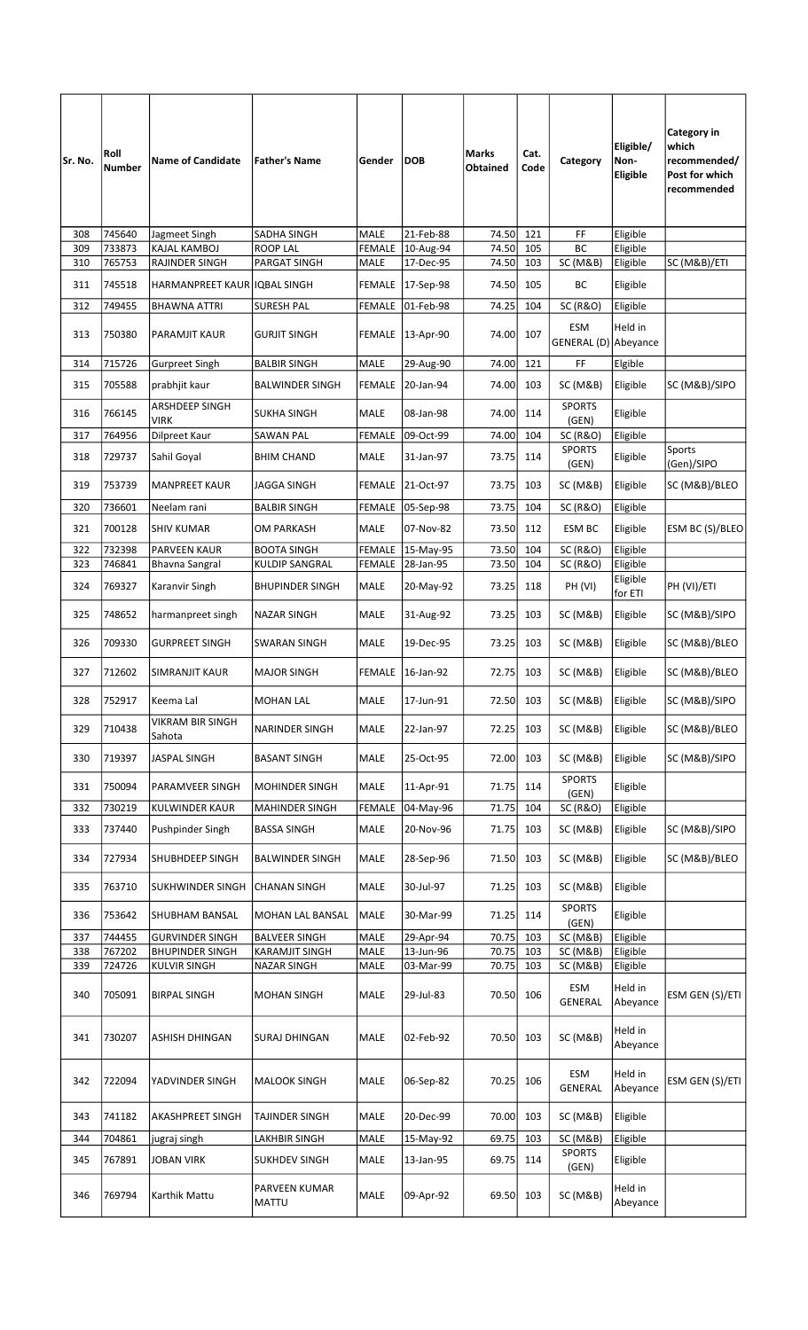| lSr. No.   | Roll<br><b>Number</b> | <b>Name of Candidate</b>                   | <b>Father's Name</b>                     | Gender        | <b>DOB</b>             | Marks<br><b>Obtained</b> | Cat.<br>Code | Category                          | Eligible/<br>Non-<br>Eligible   | <b>Category in</b><br>which<br>recommended/<br>Post for which<br>recommended |
|------------|-----------------------|--------------------------------------------|------------------------------------------|---------------|------------------------|--------------------------|--------------|-----------------------------------|---------------------------------|------------------------------------------------------------------------------|
| 308        | 745640                | Jagmeet Singh                              | <b>SADHA SINGH</b>                       | <b>MALE</b>   | 21-Feb-88              | 74.50                    | 121          | FF                                | Eligible                        |                                                                              |
| 309        | 733873                | KAJAL KAMBOJ                               | <b>ROOP LAL</b>                          | <b>FEMALE</b> | 10-Aug-94              | 74.50                    | 105          | BC                                | Eligible                        |                                                                              |
| 310        | 765753                | RAJINDER SINGH                             | <b>PARGAT SINGH</b>                      | MALE          | 17-Dec-95              | 74.50                    | 103          | <b>SC (M&amp;B)</b>               | Eligible                        | SC (M&B)/ETI                                                                 |
| 311        | 745518                | HARMANPREET KAUR IQBAL SINGH               |                                          | <b>FEMALE</b> | 17-Sep-98              | 74.50                    | 105          | BC                                | Eligible                        |                                                                              |
| 312        | 749455                | <b>BHAWNA ATTRI</b>                        | <b>SURESH PAL</b>                        | <b>FEMALE</b> | 01-Feb-98              | 74.25                    | 104          | <b>SC (R&amp;O)</b>               | Eligible                        |                                                                              |
| 313        | 750380                | <b>PARAMJIT KAUR</b>                       | <b>GURJIT SINGH</b>                      | <b>FEMALE</b> | 13-Apr-90              | 74.00                    | 107          | ESM<br>GENERAL (D) Abeyance       | Held in                         |                                                                              |
| 314        | 715726                | <b>Gurpreet Singh</b>                      | <b>BALBIR SINGH</b>                      | MALE          | 29-Aug-90              | 74.00                    | 121          | FF                                | Elgible                         |                                                                              |
| 315        | 705588                | prabhjit kaur                              | <b>BALWINDER SINGH</b>                   | <b>FEMALE</b> | 20-Jan-94              | 74.00                    | 103          | SC (M&B)                          | Eligible                        | SC (M&B)/SIPO                                                                |
| 316        | 766145                | <b>ARSHDEEP SINGH</b>                      | <b>SUKHA SINGH</b>                       | MALE          | 08-Jan-98              | 74.00                    | 114          | <b>SPORTS</b>                     | Eligible                        |                                                                              |
|            |                       | <b>VIRK</b>                                |                                          |               |                        |                          |              | (GEN)                             |                                 |                                                                              |
| 317        | 764956                | Dilpreet Kaur                              | <b>SAWAN PAL</b>                         | <b>FEMALE</b> | 09-Oct-99              | 74.00                    | 104          | <b>SC (R&amp;O)</b>               | Eligible                        |                                                                              |
| 318        | 729737                | Sahil Goyal                                | <b>BHIM CHAND</b>                        | MALE          | 31-Jan-97              | 73.75                    | 114          | <b>SPORTS</b><br>(GEN)            | Eligible                        | Sports<br>(Gen)/SIPO                                                         |
| 319        | 753739                | <b>MANPREET KAUR</b>                       | <b>JAGGA SINGH</b>                       | <b>FEMALE</b> | 21-Oct-97              | 73.75                    | 103          | SC (M&B)                          | Eligible                        | SC (M&B)/BLEO                                                                |
| 320        | 736601                | Neelam rani                                | <b>BALBIR SINGH</b>                      | <b>FEMALE</b> | 05-Sep-98              | 73.75                    | 104          | <b>SC (R&amp;O)</b>               | Eligible                        |                                                                              |
| 321        | 700128                | <b>SHIV KUMAR</b>                          | <b>OM PARKASH</b>                        | MALE          | 07-Nov-82              | 73.50                    | 112          | ESM BC                            | Eligible                        | ESM BC (S)/BLEO                                                              |
| 322        | 732398                | <b>PARVEEN KAUR</b>                        | <b>BOOTA SINGH</b>                       | <b>FEMALE</b> | 15-May-95              | 73.50                    | 104          | <b>SC (R&amp;O)</b>               | Eligible                        |                                                                              |
| 323        | 746841                | <b>Bhavna Sangral</b>                      | <b>KULDIP SANGRAL</b>                    | <b>FEMALE</b> | 28-Jan-95              | 73.50                    | 104          | <b>SC (R&amp;O)</b>               | Eligible                        |                                                                              |
| 324        | 769327                | Karanvir Singh                             | <b>BHUPINDER SINGH</b>                   | MALE          | 20-May-92              | 73.25                    | 118          | PH (VI)                           | Eligible<br>for ETI             | PH (VI)/ETI                                                                  |
| 325        | 748652                | harmanpreet singh                          | <b>NAZAR SINGH</b>                       | MALE          | 31-Aug-92              | 73.25                    | 103          | <b>SC (M&amp;B)</b>               | Eligible                        | SC (M&B)/SIPO                                                                |
| 326        | 709330                | <b>GURPREET SINGH</b>                      | <b>SWARAN SINGH</b>                      | MALE          | 19-Dec-95              | 73.25                    | 103          | SC (M&B)                          | Eligible                        | SC (M&B)/BLEO                                                                |
| 327        | 712602                | SIMRANJIT KAUR                             | <b>MAJOR SINGH</b>                       | FEMALE        | 16-Jan-92              | 72.75                    | 103          | SC (M&B)                          | Eligible                        | SC (M&B)/BLEO                                                                |
| 328        | 752917                | Keema Lal                                  | <b>MOHAN LAL</b>                         | MALE          | 17-Jun-91              | 72.50                    | 103          | <b>SC (M&amp;B)</b>               | Eligible                        | SC (M&B)/SIPO                                                                |
| 329        | 710438                | <b>VIKRAM BIR SINGH</b><br>Sahota          | <b>NARINDER SINGH</b>                    | MALE          | 22-Jan-97              | 72.25                    | 103          | <b>SC (M&amp;B)</b>               | Eligible                        | SC (M&B)/BLEO                                                                |
| 330        | 719397                | <b>JASPAL SINGH</b>                        | <b>BASANT SINGH</b>                      | MALE          | 25-Oct-95              | 72.00                    | 103          | <b>SC (M&amp;B)</b>               | Eligible                        | SC (M&B)/SIPO                                                                |
| 331        | 750094                | PARAMVEER SINGH                            | <b>MOHINDER SINGH</b>                    | MALE          | 11-Apr-91              | 71.75                    | 114          | <b>SPORTS</b><br>(GEN)            | Eligible                        |                                                                              |
| 332        | 730219                | <b>KULWINDER KAUR</b>                      | <b>MAHINDER SINGH</b>                    | FEMALE        | 04-May-96              | 71.75                    | 104          | <b>SC (R&amp;O)</b>               | Eligible                        |                                                                              |
| 333        | 737440                | Pushpinder Singh                           | <b>BASSA SINGH</b>                       | MALE          | 20-Nov-96              | 71.75                    | 103          | SC (M&B)                          | Eligible                        | SC (M&B)/SIPO                                                                |
| 334        | 727934                | SHUBHDEEP SINGH                            | <b>BALWINDER SINGH</b>                   | MALE          | 28-Sep-96              | 71.50                    | 103          | <b>SC (M&amp;B)</b>               | Eligible                        | SC (M&B)/BLEO                                                                |
| 335        | 763710                | <b>SUKHWINDER SINGH</b>                    | <b>CHANAN SINGH</b>                      | MALE          | 30-Jul-97              | 71.25                    | 103          | SC (M&B)                          | Eligible                        |                                                                              |
| 336        | 753642                | SHUBHAM BANSAL                             | MOHAN LAL BANSAL                         | MALE          | 30-Mar-99              | 71.25                    | 114          | <b>SPORTS</b><br>(GEN)            | Eligible                        |                                                                              |
| 337        | 744455                | <b>GURVINDER SINGH</b>                     | <b>BALVEER SINGH</b>                     | MALE          | 29-Apr-94              | 70.75                    | 103          | <b>SC (M&amp;B)</b>               | Eligible                        |                                                                              |
| 338        | 767202                | <b>BHUPINDER SINGH</b>                     | <b>KARAMJIT SINGH</b>                    | MALE          | 13-Jun-96              | 70.75                    | 103          | <b>SC (M&amp;B)</b>               | Eligible                        |                                                                              |
| 339<br>340 | 724726<br>705091      | <b>KULVIR SINGH</b><br><b>BIRPAL SINGH</b> | <b>NAZAR SINGH</b><br><b>MOHAN SINGH</b> | MALE<br>MALE  | 03-Mar-99<br>29-Jul-83 | 70.75<br>70.50           | 103<br>106   | SC (M&B)<br>ESM<br><b>GENERAL</b> | Eligible<br>Held in<br>Abeyance | ESM GEN (S)/ETI                                                              |
| 341        | 730207                | <b>ASHISH DHINGAN</b>                      | SURAJ DHINGAN                            | MALE          | 02-Feb-92              | 70.50                    | 103          | <b>SC (M&amp;B)</b>               | Held in<br>Abeyance             |                                                                              |
| 342        | 722094                | YADVINDER SINGH                            | <b>MALOOK SINGH</b>                      | MALE          | 06-Sep-82              | 70.25                    | 106          | ESM<br>GENERAL                    | Held in<br>Abeyance             | ESM GEN (S)/ETI                                                              |
| 343        | 741182                | <b>AKASHPREET SINGH</b>                    | TAJINDER SINGH                           | MALE          | 20-Dec-99              | 70.00                    | 103          | <b>SC (M&amp;B)</b>               | Eligible                        |                                                                              |
| 344        | 704861                | jugraj singh                               | LAKHBIR SINGH                            | MALE          | 15-May-92              | 69.75                    | 103          | <b>SC (M&amp;B)</b>               | Eligible                        |                                                                              |
| 345        | 767891                | JOBAN VIRK                                 | <b>SUKHDEV SINGH</b>                     | MALE          | 13-Jan-95              | 69.75                    | 114          | <b>SPORTS</b><br>(GEN)            | Eligible                        |                                                                              |
| 346        | 769794                | Karthik Mattu                              | PARVEEN KUMAR<br><b>MATTU</b>            | MALE          | 09-Apr-92              | 69.50                    | 103          | SC (M&B)                          | Held in<br>Abeyance             |                                                                              |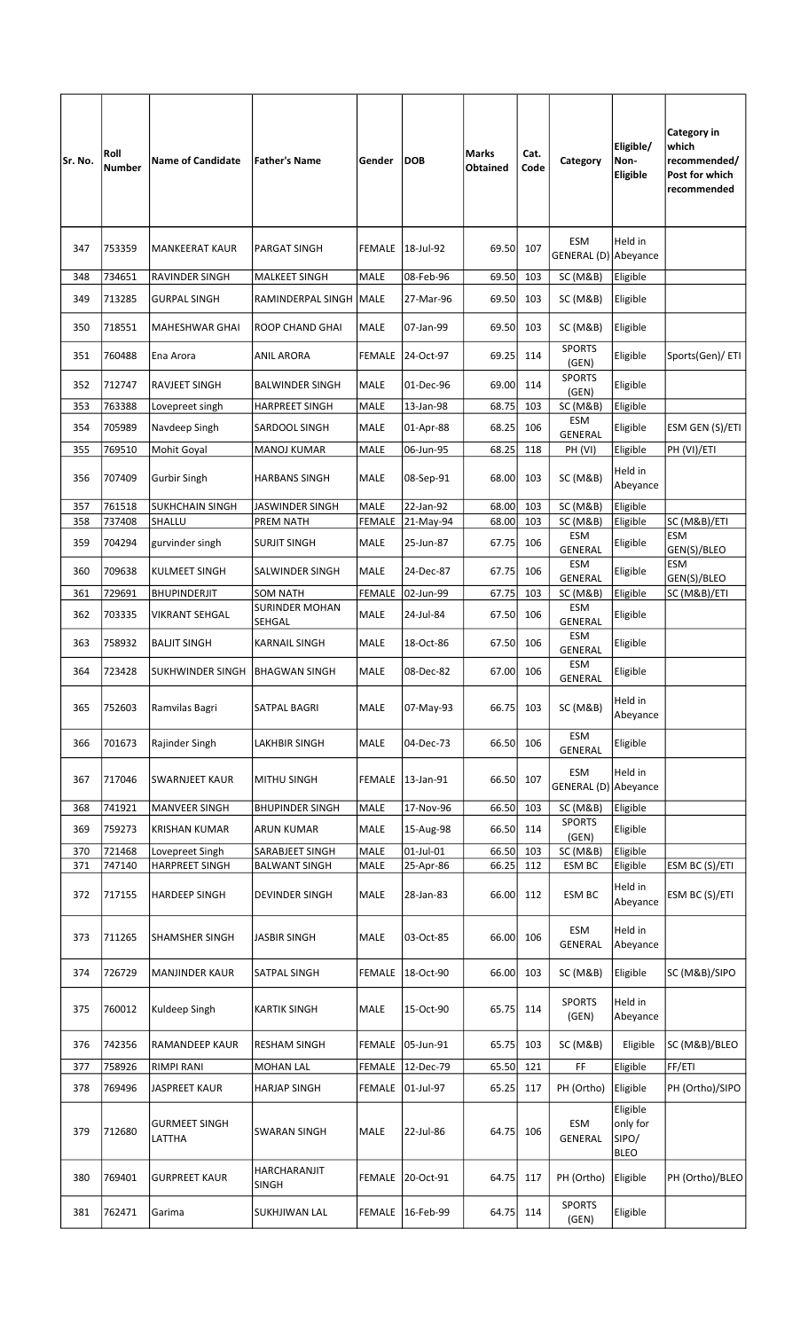| lSr. No.   | Roll<br>Number   | <b>Name of Candidate</b>                | <b>Father's Name</b>                   | Gender        | <b>DOB</b>             | Marks<br><b>Obtained</b> | Cat.<br>Code | Category                                      | Eligible/<br>Non-<br>Eligible                | Category in<br>which<br>recommended/<br>Post for which<br>recommended |
|------------|------------------|-----------------------------------------|----------------------------------------|---------------|------------------------|--------------------------|--------------|-----------------------------------------------|----------------------------------------------|-----------------------------------------------------------------------|
| 347        | 753359           | <b>MANKEERAT KAUR</b>                   | PARGAT SINGH                           | FEMALE        | 18-Jul-92              | 69.50                    | 107          | <b>ESM</b><br>GENERAL (D) Abeyance            | Held in                                      |                                                                       |
| 348        | 734651           | RAVINDER SINGH                          | <b>MALKEET SINGH</b>                   | <b>MALE</b>   | 08-Feb-96              | 69.50                    | 103          | <b>SC (M&amp;B)</b>                           | Eligible                                     |                                                                       |
| 349        | 713285           | <b>GURPAL SINGH</b>                     | RAMINDERPAL SINGH   MALE               |               | 27-Mar-96              | 69.50                    | 103          | <b>SC (M&amp;B)</b>                           | Eligible                                     |                                                                       |
| 350        | 718551           | <b>MAHESHWAR GHAI</b>                   | ROOP CHAND GHAI                        | MALE          | 07-Jan-99              | 69.50                    | 103          | <b>SC (M&amp;B)</b>                           | Eligible                                     |                                                                       |
| 351        | 760488           | Ena Arora                               | <b>ANIL ARORA</b>                      | <b>FEMALE</b> | 24-Oct-97              | 69.25                    | 114          | <b>SPORTS</b><br>(GEN)<br><b>SPORTS</b>       | Eligible                                     | Sports(Gen)/ ETI                                                      |
| 352        | 712747           | <b>RAVJEET SINGH</b>                    | <b>BALWINDER SINGH</b>                 | MALE          | 01-Dec-96              | 69.00                    | 114          | (GEN)                                         | Eligible                                     |                                                                       |
| 353        | 763388           | Lovepreet singh                         | <b>HARPREET SINGH</b>                  | MALE          | 13-Jan-98              | 68.75                    | 103          | <b>SC (M&amp;B)</b>                           | Eligible                                     |                                                                       |
| 354        | 705989           | Navdeep Singh                           | SARDOOL SINGH                          | MALE          | 01-Apr-88              | 68.25                    | 106          | ESM<br><b>GENERAL</b>                         | Eligible                                     | ESM GEN (S)/ETI                                                       |
| 355        | 769510           | Mohit Goyal                             | <b>MANOJ KUMAR</b>                     | MALE          | 06-Jun-95              | 68.25                    | 118          | PH (VI)                                       | Eligible                                     | PH (VI)/ETI                                                           |
| 356        | 707409           | Gurbir Singh                            | <b>HARBANS SINGH</b>                   | MALE          | 08-Sep-91              | 68.00                    | 103          | SC (M&B)                                      | Held in<br>Abeyance                          |                                                                       |
| 357<br>358 | 761518<br>737408 | <b>SUKHCHAIN SINGH</b><br>SHALLU        | <b>JASWINDER SINGH</b>                 | MALE          | 22-Jan-92<br>21-May-94 | 68.00<br>68.00           | 103<br>103   | <b>SC (M&amp;B)</b><br><b>SC (M&amp;B)</b>    | Eligible                                     |                                                                       |
| 359        | 704294           |                                         | <b>PREM NATH</b>                       | <b>FEMALE</b> |                        | 67.75                    | 106          | ESM                                           | Eligible                                     | SC (M&B)/ETI<br><b>ESM</b>                                            |
| 360        | 709638           | gurvinder singh<br><b>KULMEET SINGH</b> | <b>SURJIT SINGH</b><br>SALWINDER SINGH | MALE<br>MALE  | 25-Jun-87<br>24-Dec-87 | 67.75                    | 106          | <b>GENERAL</b><br>ESM                         | Eligible<br>Eligible                         | GEN(S)/BLEO<br>ESM                                                    |
| 361        | 729691           | <b>BHUPINDERJIT</b>                     | <b>SOM NATH</b>                        | <b>FEMALE</b> | 02-Jun-99              | 67.75                    | 103          | <b>GENERAL</b>                                |                                              | GEN(S)/BLEO<br>SC (M&B)/ETI                                           |
| 362        | 703335           | VIKRANT SEHGAL                          | <b>SURINDER MOHAN</b><br>SEHGAL        | MALE          | 24-Jul-84              | 67.50                    | 106          | <b>SC (M&amp;B)</b><br>ESM<br><b>GENERAL</b>  | Eligible<br>Eligible                         |                                                                       |
| 363        | 758932           | <b>BALJIT SINGH</b>                     | <b>KARNAIL SINGH</b>                   | MALE          | 18-Oct-86              | 67.50                    | 106          | ESM<br><b>GENERAL</b>                         | Eligible                                     |                                                                       |
| 364        | 723428           | <b>SUKHWINDER SINGH</b>                 | <b>BHAGWAN SINGH</b>                   | MALE          | 08-Dec-82              | 67.00                    | 106          | ESM                                           | Eligible                                     |                                                                       |
| 365        | 752603           | Ramvilas Bagri                          | SATPAL BAGRI                           | MALE          | 07-May-93              | 66.75                    | 103          | <b>GENERAL</b><br><b>SC (M&amp;B)</b>         | Held in<br>Abeyance                          |                                                                       |
| 366        | 701673           | Rajinder Singh                          | <b>LAKHBIR SINGH</b>                   | MALE          | 04-Dec-73              | 66.50                    | 106          | ESM<br><b>GENERAL</b>                         | Eligible                                     |                                                                       |
| 367        | 717046           | <b>SWARNJEET KAUR</b>                   | <b>MITHU SINGH</b>                     | <b>FEMALE</b> | 13-Jan-91              | 66.50                    | 107          | ESM<br>GENERAL (D) Abeyance                   | Held in                                      |                                                                       |
| 368        | 741921           | <b>MANVEER SINGH</b>                    | <b>BHUPINDER SINGH</b>                 | MALE          | 17-Nov-96              | 66.50                    | 103          | <b>SC (M&amp;B)</b>                           | Eligible                                     |                                                                       |
| 369<br>370 | 759273<br>721468 | <b>KRISHAN KUMAR</b><br>Lovepreet Singh | <b>ARUN KUMAR</b><br>SARABJEET SINGH   | MALE<br>MALE  | 15-Aug-98<br>01-Jul-01 | 66.50<br>66.50           | 114<br>103   | <b>SPORTS</b><br>(GEN)<br><b>SC (M&amp;B)</b> | Eligible<br>Eligible                         |                                                                       |
| 371        | 747140           | <b>HARPREET SINGH</b>                   | <b>BALWANT SINGH</b>                   | MALE          | 25-Apr-86              | 66.25                    | 112          | ESM BC                                        | Eligible                                     | ESM BC (S)/ETI                                                        |
| 372        | 717155           | <b>HARDEEP SINGH</b>                    | <b>DEVINDER SINGH</b>                  | MALE          | 28-Jan-83              | 66.00                    | 112          | ESM BC                                        | Held in<br>Abeyance                          | ESM BC (S)/ETI                                                        |
| 373        | 711265           | SHAMSHER SINGH                          | <b>JASBIR SINGH</b>                    | MALE          | 03-Oct-85              | 66.00                    | 106          | ESM<br>GENERAL                                | Held in<br>Abeyance                          |                                                                       |
| 374        | 726729           | <b>MANJINDER KAUR</b>                   | SATPAL SINGH                           | FEMALE        | 18-Oct-90              | 66.00                    | 103          | SC (M&B)                                      | Eligible                                     | SC (M&B)/SIPO                                                         |
| 375        | 760012           | Kuldeep Singh                           | <b>KARTIK SINGH</b>                    | MALE          | 15-Oct-90              | 65.75                    | 114          | <b>SPORTS</b><br>(GEN)                        | Held in<br>Abeyance                          |                                                                       |
| 376        | 742356           | <b>RAMANDEEP KAUR</b>                   | <b>RESHAM SINGH</b>                    | FEMALE        | 05-Jun-91              | 65.75                    | 103          | SC (M&B)                                      | Eligible                                     | SC (M&B)/BLEO                                                         |
| 377        | 758926           | <b>RIMPI RANI</b>                       | <b>MOHAN LAL</b>                       | <b>FEMALE</b> | 12-Dec-79              | 65.50                    | 121          | FF                                            | Eligible                                     | FF/ETI                                                                |
| 378        | 769496           | JASPREET KAUR                           | <b>HARJAP SINGH</b>                    | FEMALE        | 01-Jul-97              | 65.25                    | 117          | PH (Ortho)                                    | Eligible                                     | PH (Ortho)/SIPO                                                       |
| 379        | 712680           | <b>GURMEET SINGH</b><br>LATTHA          | <b>SWARAN SINGH</b>                    | MALE          | 22-Jul-86              | 64.75                    | 106          | ESM<br><b>GENERAL</b>                         | Eligible<br>only for<br>SIPO/<br><b>BLEO</b> |                                                                       |
| 380        | 769401           | <b>GURPREET KAUR</b>                    | HARCHARANJIT<br><b>SINGH</b>           | <b>FEMALE</b> | 20-Oct-91              | 64.75                    | 117          | PH (Ortho)                                    | Eligible                                     | PH (Ortho)/BLEO                                                       |
| 381        | 762471           | Garima                                  | SUKHJIWAN LAL                          | <b>FEMALE</b> | 16-Feb-99              | 64.75                    | 114          | <b>SPORTS</b><br>(GEN)                        | Eligible                                     |                                                                       |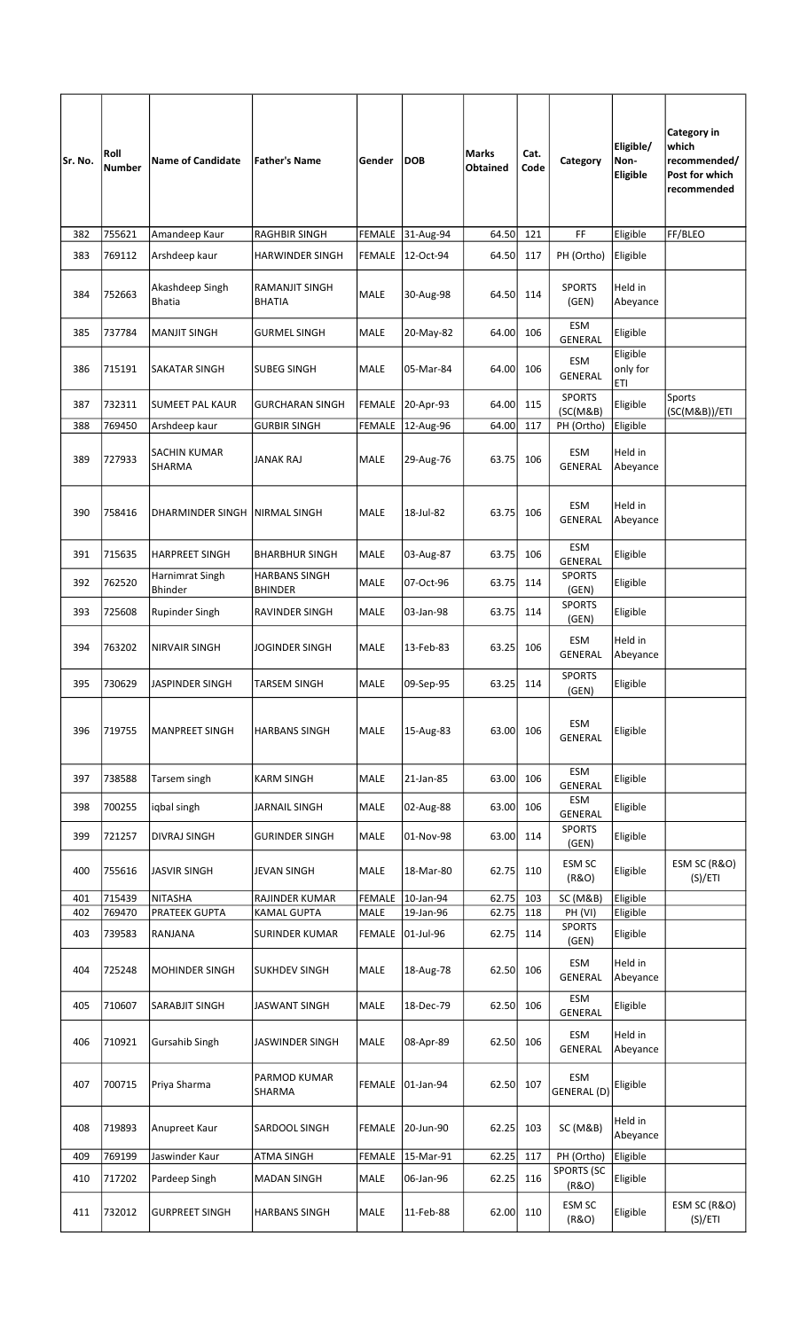| Sr. No.    | Roll<br>Number   | <b>Name of Candidate</b>          | <b>Father's Name</b>                   | Gender         | <b>DOB</b>             | <b>Marks</b><br><b>Obtained</b> | Cat.<br>Code | Category                       | Eligible/<br>Non-<br>Eligible | <b>Category in</b><br>which<br>recommended/<br>Post for which<br>recommended |
|------------|------------------|-----------------------------------|----------------------------------------|----------------|------------------------|---------------------------------|--------------|--------------------------------|-------------------------------|------------------------------------------------------------------------------|
| 382        | 755621           | Amandeep Kaur                     | <b>RAGHBIR SINGH</b>                   | FEMALE         | 31-Aug-94              | 64.50                           | 121          | FF                             | Eligible                      | FF/BLEO                                                                      |
| 383        | 769112           | Arshdeep kaur                     | <b>HARWINDER SINGH</b>                 | FEMALE         | 12-Oct-94              | 64.50                           | 117          | PH (Ortho)                     | Eligible                      |                                                                              |
| 384        | 752663           | Akashdeep Singh<br><b>Bhatia</b>  | RAMANJIT SINGH<br><b>BHATIA</b>        | MALE           | 30-Aug-98              | 64.50                           | 114          | <b>SPORTS</b><br>(GEN)         | Held in<br>Abeyance           |                                                                              |
| 385        | 737784           | <b>MANJIT SINGH</b>               | <b>GURMEL SINGH</b>                    | MALE           | 20-May-82              | 64.00                           | 106          | <b>ESM</b><br>GENERAL          | Eligible                      |                                                                              |
| 386        | 715191           | SAKATAR SINGH                     | <b>SUBEG SINGH</b>                     | MALE           | 05-Mar-84              | 64.00                           | 106          | ESM<br>GENERAL                 | Eligible<br>only for<br>ETI   |                                                                              |
| 387        | 732311           | <b>SUMEET PAL KAUR</b>            | <b>GURCHARAN SINGH</b>                 | FEMALE         | 20-Apr-93              | 64.00                           | 115          | <b>SPORTS</b><br>(SC(M&B)      | Eligible                      | Sports<br>(SC(M&B))/ETI                                                      |
| 388        | 769450           | Arshdeep kaur                     | <b>GURBIR SINGH</b>                    | <b>FEMALE</b>  | 12-Aug-96              | 64.00                           | 117          | PH (Ortho)                     | Eligible                      |                                                                              |
| 389        | 727933           | SACHIN KUMAR<br>SHARMA            | <b>JANAK RAJ</b>                       | MALE           | 29-Aug-76              | 63.75                           | 106          | <b>ESM</b><br>GENERAL          | Held in<br>Abeyance           |                                                                              |
| 390        | 758416           | DHARMINDER SINGH                  | NIRMAL SINGH                           | <b>MALE</b>    | 18-Jul-82              | 63.75                           | 106          | ESM<br><b>GENERAL</b>          | Held in<br>Abeyance           |                                                                              |
| 391        | 715635           | <b>HARPREET SINGH</b>             | <b>BHARBHUR SINGH</b>                  | MALE           | 03-Aug-87              | 63.75                           | 106          | ESM<br><b>GENERAL</b>          | Eligible                      |                                                                              |
| 392        | 762520           | Harnimrat Singh<br><b>Bhinder</b> | <b>HARBANS SINGH</b><br><b>BHINDER</b> | MALE           | 07-Oct-96              | 63.75                           | 114          | <b>SPORTS</b><br>(GEN)         | Eligible                      |                                                                              |
| 393        | 725608           | Rupinder Singh                    | RAVINDER SINGH                         | MALE           | 03-Jan-98              | 63.75                           | 114          | <b>SPORTS</b><br>(GEN)         | Eligible                      |                                                                              |
| 394        | 763202           | NIRVAIR SINGH                     | JOGINDER SINGH                         | MALE           | 13-Feb-83              | 63.25                           | 106          | ESM<br>GENERAL                 | Held in<br>Abeyance           |                                                                              |
| 395        | 730629           | JASPINDER SINGH                   | <b>TARSEM SINGH</b>                    | MALE           | 09-Sep-95              | 63.25                           | 114          | <b>SPORTS</b><br>(GEN)         | Eligible                      |                                                                              |
| 396        | 719755           | <b>MANPREET SINGH</b>             | <b>HARBANS SINGH</b>                   | MALE           | 15-Aug-83              | 63.00                           | 106          | ESM<br><b>GENERAL</b>          | Eligible                      |                                                                              |
| 397        | 738588           | Tarsem singh                      | <b>KARM SINGH</b>                      | MALE           | 21-Jan-85              | 63.00                           | 106          | ESM<br><b>GENERAL</b>          | Eligible                      |                                                                              |
| 398        | 700255           | igbal singh                       | <b>JARNAIL SINGH</b>                   | MALE           | 02-Aug-88              | 63.00                           | 106          | ESM<br><b>GENERAL</b>          | Eligible                      |                                                                              |
| 399        | 721257           | <b>DIVRAJ SINGH</b>               | <b>GURINDER SINGH</b>                  | MALE           | 01-Nov-98              | 63.00                           | 114          | <b>SPORTS</b><br>(GEN)         | Eligible                      |                                                                              |
| 400        | 755616           | <b>JASVIR SINGH</b>               | <b>JEVAN SINGH</b>                     | MALE           | 18-Mar-80              | 62.75                           | 110          | ESM SC<br>(R&O)                | Eligible                      | ESM SC (R&O)<br>(S)/ETI                                                      |
| 401<br>402 | 715439<br>769470 | NITASHA<br>PRATEEK GUPTA          | RAJINDER KUMAR<br><b>KAMAL GUPTA</b>   | FEMALE<br>MALE | 10-Jan-94<br>19-Jan-96 | 62.75<br>62.75                  | 103<br>118   | <b>SC (M&amp;B)</b><br>PH (VI) | Eligible<br>Eligible          |                                                                              |
| 403        | 739583           | RANJANA                           | <b>SURINDER KUMAR</b>                  | <b>FEMALE</b>  | 01-Jul-96              | 62.75                           | 114          | <b>SPORTS</b><br>(GEN)         | Eligible                      |                                                                              |
| 404        | 725248           | <b>MOHINDER SINGH</b>             | SUKHDEV SINGH                          | MALE           | 18-Aug-78              | 62.50                           | 106          | ESM<br><b>GENERAL</b>          | Held in<br>Abeyance           |                                                                              |
| 405        | 710607           | SARABJIT SINGH                    | <b>JASWANT SINGH</b>                   | MALE           | 18-Dec-79              | 62.50                           | 106          | ESM<br><b>GENERAL</b>          | Eligible                      |                                                                              |
| 406        | 710921           | Gursahib Singh                    | <b>JASWINDER SINGH</b>                 | MALE           | 08-Apr-89              | 62.50                           | 106          | ESM<br><b>GENERAL</b>          | Held in<br>Abeyance           |                                                                              |
| 407        | 700715           | Priya Sharma                      | <b>PARMOD KUMAR</b><br>SHARMA          | <b>FEMALE</b>  | 01-Jan-94              | 62.50                           | 107          | ESM<br>GENERAL (D)             | Eligible                      |                                                                              |
| 408        | 719893           | Anupreet Kaur                     | SARDOOL SINGH                          | <b>FEMALE</b>  | 20-Jun-90              | 62.25                           | 103          | SC (M&B)                       | Held in<br>Abeyance           |                                                                              |
| 409        | 769199           | Jaswinder Kaur                    | <b>ATMA SINGH</b>                      | <b>FEMALE</b>  | 15-Mar-91              | 62.25                           | 117          | PH (Ortho)                     | Eligible                      |                                                                              |
| 410        | 717202           | Pardeep Singh                     | <b>MADAN SINGH</b>                     | MALE           | 06-Jan-96              | 62.25                           | 116          | <b>SPORTS (SC</b><br>(R&O)     | Eligible                      |                                                                              |
| 411        | 732012           | <b>GURPREET SINGH</b>             | <b>HARBANS SINGH</b>                   | MALE           | 11-Feb-88              | 62.00                           | 110          | ESM SC<br>(R&O)                | Eligible                      | ESM SC (R&O)<br>(S)/ETI                                                      |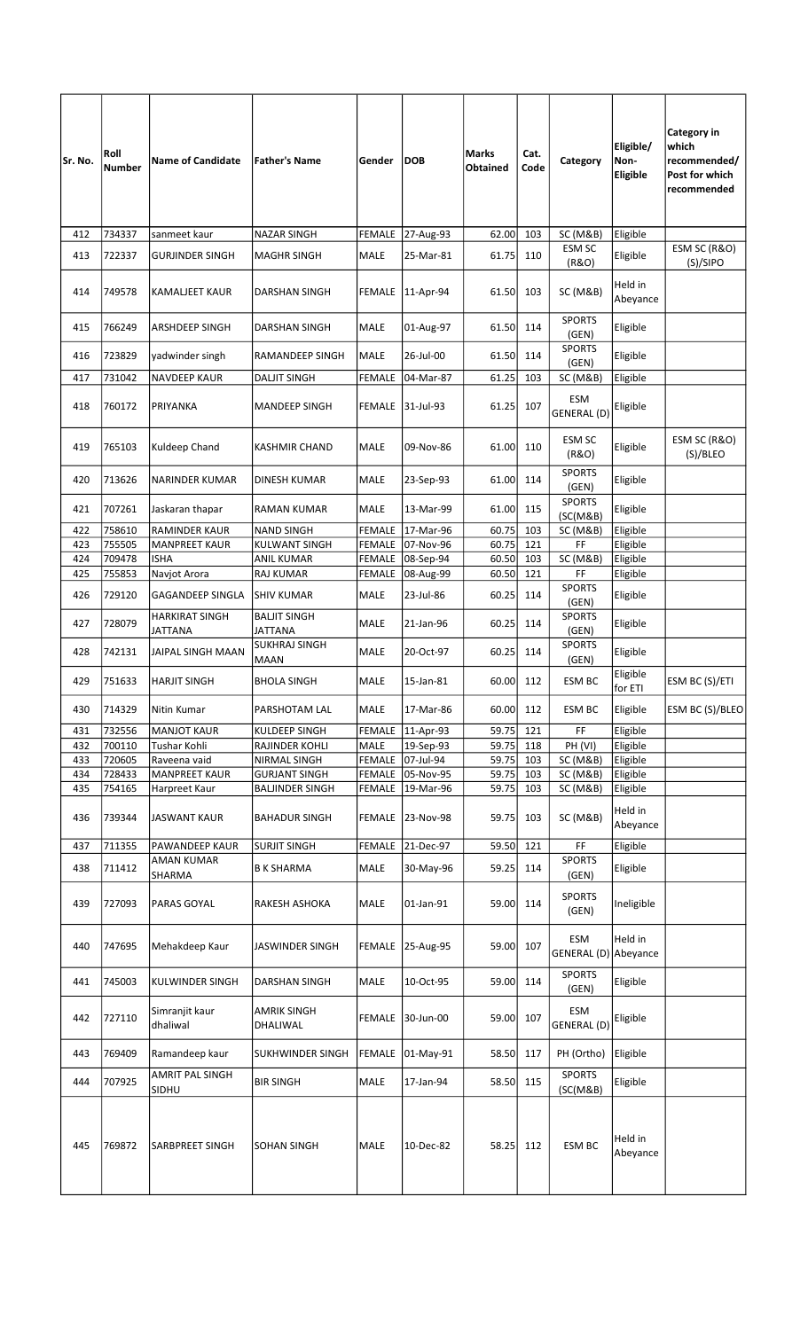| Sr. No.    | Roll<br>Number   | <b>Name of Candidate</b>              | <b>Father's Name</b>                           | Gender                  | <b>DOB</b>             | Marks<br>Obtained | Cat.<br>Code | Category                        | Eligible/<br>Non-<br>Eligible | Category in<br>which<br>recommended/<br>Post for which<br>recommended |
|------------|------------------|---------------------------------------|------------------------------------------------|-------------------------|------------------------|-------------------|--------------|---------------------------------|-------------------------------|-----------------------------------------------------------------------|
| 412        | 734337           | sanmeet kaur                          | <b>NAZAR SINGH</b>                             | FEMALE                  | 27-Aug-93              | 62.00             | 103          | <b>SC (M&amp;B)</b>             | Eligible                      |                                                                       |
| 413        | 722337           | GURJINDER SINGH                       | <b>MAGHR SINGH</b>                             | <b>MALE</b>             | 25-Mar-81              | 61.75             | 110          | ESM SC<br>(R&O)                 | Eligible                      | ESM SC (R&O)<br>(S)/SIPO                                              |
| 414        | 749578           | KAMALJEET KAUR                        | DARSHAN SINGH                                  | FEMALE                  | 11-Apr-94              | 61.50             | 103          | <b>SC (M&amp;B)</b>             | Held in<br>Abeyance           |                                                                       |
| 415        | 766249           | ARSHDEEP SINGH                        | DARSHAN SINGH                                  | MALE                    | 01-Aug-97              | 61.50             | 114          | <b>SPORTS</b><br>(GEN)          | Eligible                      |                                                                       |
| 416        | 723829           | yadwinder singh                       | <b>RAMANDEEP SINGH</b>                         | MALE                    | 26-Jul-00              | 61.50             | 114          | <b>SPORTS</b><br>(GEN)          | Eligible                      |                                                                       |
| 417        | 731042           | <b>NAVDEEP KAUR</b>                   | DALJIT SINGH                                   | FEMALE                  | 04-Mar-87              | 61.25             | 103          | <b>SC (M&amp;B)</b>             | Eligible                      |                                                                       |
| 418        | 760172           | PRIYANKA                              | <b>MANDEEP SINGH</b>                           | FEMALE                  | 31-Jul-93              | 61.25             | 107          | ESM<br>GENERAL (D)              | Eligible                      |                                                                       |
| 419        | 765103           | Kuldeep Chand                         | <b>KASHMIR CHAND</b>                           | MALE                    | 09-Nov-86              | 61.00             | 110          | ESM SC<br>(R&O)                 | Eligible                      | ESM SC (R&O)<br>(S)/BLEO                                              |
| 420        | 713626           | <b>NARINDER KUMAR</b>                 | DINESH KUMAR                                   | MALE                    | 23-Sep-93              | 61.00             | 114          | <b>SPORTS</b><br>(GEN)          | Eligible                      |                                                                       |
| 421        | 707261           | Jaskaran thapar                       | RAMAN KUMAR                                    | MALE                    | 13-Mar-99              | 61.00             | 115          | <b>SPORTS</b><br>(SC(M&B)       | Eligible                      |                                                                       |
| 422        | 758610           | <b>RAMINDER KAUR</b>                  | <b>NAND SINGH</b>                              | FEMALE                  | 17-Mar-96              | 60.75             | 103          | <b>SC (M&amp;B)</b>             | Eligible                      |                                                                       |
| 423        | 755505           | <b>MANPREET KAUR</b>                  | <b>KULWANT SINGH</b>                           | FEMALE                  | 07-Nov-96              | 60.75             | 121          | FF                              | Eligible                      |                                                                       |
| 424        | 709478           | <b>ISHA</b>                           | <b>ANIL KUMAR</b>                              | <b>FEMALE</b>           | 08-Sep-94              | 60.50             | 103          | <b>SC (M&amp;B)</b>             | Eligible                      |                                                                       |
| 425<br>426 | 755853<br>729120 | Navjot Arora<br>GAGANDEEP SINGLA      | RAJ KUMAR<br><b>SHIV KUMAR</b>                 | FEMALE<br>MALE          | 08-Aug-99<br>23-Jul-86 | 60.50<br>60.25    | 121<br>114   | FF<br><b>SPORTS</b>             | Eligible<br>Eligible          |                                                                       |
| 427        | 728079           | <b>HARKIRAT SINGH</b>                 | <b>BALJIT SINGH</b>                            | <b>MALE</b>             | 21-Jan-96              | 60.25             | 114          | (GEN)<br><b>SPORTS</b>          | Eligible                      |                                                                       |
|            |                  | <b>JATTANA</b>                        | JATTANA<br><b>SUKHRAJ SINGH</b>                |                         |                        |                   |              | (GEN)<br><b>SPORTS</b>          |                               |                                                                       |
| 428        | 742131           | JAIPAL SINGH MAAN                     | <b>MAAN</b>                                    | MALE                    | 20-Oct-97              | 60.25             | 114          | (GEN)                           | Eligible<br>Eligible          |                                                                       |
| 429        | 751633           | <b>HARJIT SINGH</b>                   | <b>BHOLA SINGH</b>                             | MALE                    | 15-Jan-81              | 60.00             | 112          | ESM BC                          | for ETI                       | ESM BC (S)/ETI                                                        |
| 430        | 714329           | Nitin Kumar                           | PARSHOTAM LAL                                  | MALE                    | 17-Mar-86              | 60.00             | 112          | ESM BC                          | Eligible                      | ESM BC (S)/BLEO                                                       |
| 431        | 732556           | <b>MANJOT KAUR</b>                    | KULDEEP SINGH                                  | <b>FEMALE</b>           | 11-Apr-93              | 59.75             | 121          | $\mathsf{FF}% _{0}$             | Eligible                      |                                                                       |
| 432        | 700110           | Tushar Kohli                          | RAJINDER KOHLI                                 | MALE                    | 19-Sep-93              | 59.75             | 118          | PH (VI)                         | Eligible                      |                                                                       |
| 433        | 720605           | Raveena vaid                          | NIRMAL SINGH                                   | <b>FEMALE</b>           | 07-Jul-94              | 59.75             | 103          | <b>SC (M&amp;B)</b>             | Eligible                      |                                                                       |
| 434<br>435 | 728433<br>754165 | <b>MANPREET KAUR</b><br>Harpreet Kaur | <b>GURJANT SINGH</b><br><b>BALJINDER SINGH</b> | <b>FEMALE</b><br>FEMALE | 05-Nov-95<br>19-Mar-96 | 59.75<br>59.75    | 103<br>103   | SC (M&B)<br><b>SC (M&amp;B)</b> | Eligible<br>Eligible          |                                                                       |
| 436        | 739344           | <b>JASWANT KAUR</b>                   | <b>BAHADUR SINGH</b>                           | <b>FEMALE</b>           | 23-Nov-98              | 59.75             | 103          | SC (M&B)                        | Held in<br>Abeyance           |                                                                       |
| 437        | 711355           | PAWANDEEP KAUR                        | <b>SURJIT SINGH</b>                            | <b>FEMALE</b>           | 21-Dec-97              | 59.50             | 121          | FF.                             | Eligible                      |                                                                       |
| 438        | 711412           | AMAN KUMAR<br>SHARMA                  | B K SHARMA                                     | MALE                    | 30-May-96              | 59.25             | 114          | <b>SPORTS</b><br>(GEN)          | Eligible                      |                                                                       |
| 439        | 727093           | PARAS GOYAL                           | RAKESH ASHOKA                                  | MALE                    | 01-Jan-91              | 59.00             | 114          | <b>SPORTS</b><br>(GEN)          | Ineligible                    |                                                                       |
| 440        | 747695           | Mehakdeep Kaur                        | JASWINDER SINGH                                | <b>FEMALE</b>           | 25-Aug-95              | 59.00             | 107          | ESM<br>GENERAL (D) Abeyance     | Held in                       |                                                                       |
| 441        | 745003           | <b>KULWINDER SINGH</b>                | DARSHAN SINGH                                  | MALE                    | 10-Oct-95              | 59.00             | 114          | <b>SPORTS</b><br>(GEN)          | Eligible                      |                                                                       |
| 442        | 727110           | Simranjit kaur<br>dhaliwal            | <b>AMRIK SINGH</b><br>DHALIWAL                 | FEMALE                  | 30-Jun-00              | 59.00             | 107          | ESM<br>GENERAL (D)              | Eligible                      |                                                                       |
| 443        | 769409           | Ramandeep kaur                        | SUKHWINDER SINGH                               | FEMALE                  | 01-May-91              | 58.50             | 117          | PH (Ortho)                      | Eligible                      |                                                                       |
| 444        | 707925           | AMRIT PAL SINGH<br><b>SIDHU</b>       | <b>BIR SINGH</b>                               | MALE                    | 17-Jan-94              | 58.50             | 115          | <b>SPORTS</b><br>(SC(M&B)       | Eligible                      |                                                                       |
| 445        | 769872           | SARBPREET SINGH                       | <b>SOHAN SINGH</b>                             | MALE                    | 10-Dec-82              | 58.25             | 112          | <b>ESM BC</b>                   | Held in<br>Abeyance           |                                                                       |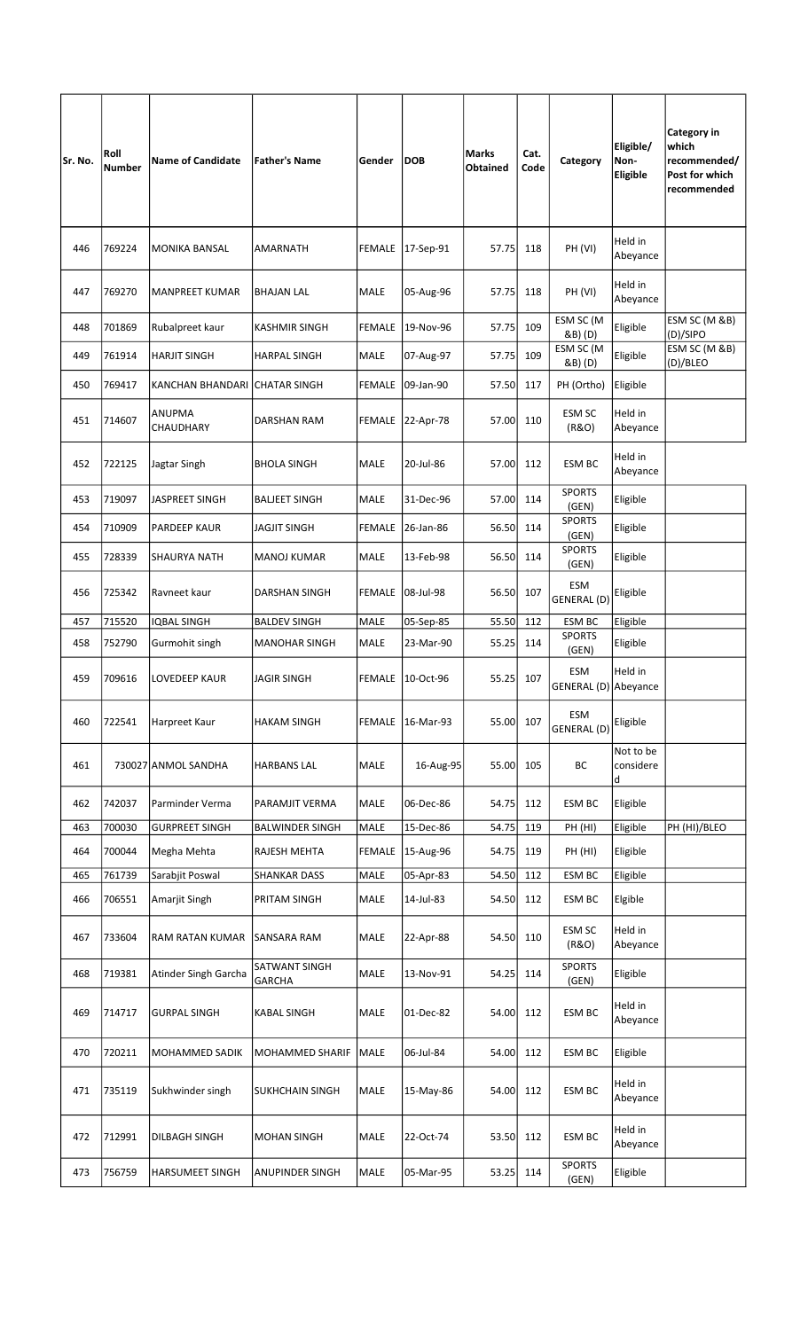| lSr. No. | Roll<br>Number | <b>Name of Candidate</b> | <b>Father's Name</b>           | Gender        | <b>DOB</b> | Marks<br>Obtained | Cat.<br>Code | Category                       | Eligible/<br>Non-<br>Eligible | Category in<br>which<br>recommended/<br>Post for which<br>recommended |
|----------|----------------|--------------------------|--------------------------------|---------------|------------|-------------------|--------------|--------------------------------|-------------------------------|-----------------------------------------------------------------------|
| 446      | 769224         | MONIKA BANSAL            | AMARNATH                       | <b>FEMALE</b> | 17-Sep-91  | 57.75             | 118          | PH (VI)                        | Held in<br>Abeyance           |                                                                       |
| 447      | 769270         | <b>MANPREET KUMAR</b>    | <b>BHAJAN LAL</b>              | MALE          | 05-Aug-96  | 57.75             | 118          | PH (VI)                        | Held in<br>Abeyance           |                                                                       |
| 448      | 701869         | Rubalpreet kaur          | <b>KASHMIR SINGH</b>           | <b>FEMALE</b> | 19-Nov-96  | 57.75             | 109          | ESM SC (M<br>&B) (D)           | Eligible                      | ESM SC (M &B)<br>(D)/SIPO                                             |
| 449      | 761914         | <b>HARJIT SINGH</b>      | <b>HARPAL SINGH</b>            | MALE          | 07-Aug-97  | 57.75             | 109          | ESM SC (M<br>&B) (D)           | Eligible                      | ESM SC (M &B)<br>(D)/BLEO                                             |
| 450      | 769417         | KANCHAN BHANDARI         | <b>CHATAR SINGH</b>            | FEMALE        | 09-Jan-90  | 57.50             | 117          | PH (Ortho)                     | Eligible                      |                                                                       |
| 451      | 714607         | ANUPMA<br>CHAUDHARY      | DARSHAN RAM                    | FEMALE        | 22-Apr-78  | 57.00             | 110          | <b>ESM SC</b><br>(R&O)         | Held in<br>Abeyance           |                                                                       |
| 452      | 722125         | Jagtar Singh             | <b>BHOLA SINGH</b>             | MALE          | 20-Jul-86  | 57.00             | 112          | ESM BC                         | Held in<br>Abeyance           |                                                                       |
| 453      | 719097         | JASPREET SINGH           | <b>BALJEET SINGH</b>           | MALE          | 31-Dec-96  | 57.00             | 114          | <b>SPORTS</b><br>(GEN)         | Eligible                      |                                                                       |
| 454      | 710909         | PARDEEP KAUR             | <b>JAGJIT SINGH</b>            | <b>FEMALE</b> | 26-Jan-86  | 56.50             | 114          | <b>SPORTS</b><br>(GEN)         | Eligible                      |                                                                       |
| 455      | 728339         | SHAURYA NATH             | MANOJ KUMAR                    | MALE          | 13-Feb-98  | 56.50             | 114          | <b>SPORTS</b><br>(GEN)         | Eligible                      |                                                                       |
| 456      | 725342         | Ravneet kaur             | DARSHAN SINGH                  | <b>FEMALE</b> | 08-Jul-98  | 56.50             | 107          | ESM<br>GENERAL (D)             | Eligible                      |                                                                       |
| 457      | 715520         | <b>IQBAL SINGH</b>       | <b>BALDEV SINGH</b>            | <b>MALE</b>   | 05-Sep-85  | 55.50             | 112          | <b>ESM BC</b><br><b>SPORTS</b> | Eligible                      |                                                                       |
| 458      | 752790         | Gurmohit singh           | <b>MANOHAR SINGH</b>           | MALE          | 23-Mar-90  | 55.25             | 114          | (GEN)                          | Eligible                      |                                                                       |
| 459      | 709616         | <b>LOVEDEEP KAUR</b>     | <b>JAGIR SINGH</b>             | <b>FEMALE</b> | 10-Oct-96  | 55.25             | 107          | ESM<br>GENERAL (D) Abeyance    | Held in                       |                                                                       |
| 460      | 722541         | Harpreet Kaur            | <b>HAKAM SINGH</b>             | <b>FEMALE</b> | 16-Mar-93  | 55.00             | 107          | ESM<br>GENERAL (D)             | Eligible                      |                                                                       |
| 461      |                | 730027 ANMOL SANDHA      | <b>HARBANS LAL</b>             | MALE          | 16-Aug-95  | 55.00             | 105          | ВC                             | Not to be<br>considere<br>d   |                                                                       |
| 462      | 742037         | Parminder Verma          | PARAMJIT VERMA                 | MALE          | 06-Dec-86  | 54.75             | 112          | ESM BC                         | Eligible                      |                                                                       |
| 463      | 700030         | <b>GURPREET SINGH</b>    | <b>BALWINDER SINGH</b>         | MALE          | 15-Dec-86  | 54.75             | 119          | PH (HI)                        | Eligible                      | PH (HI)/BLEO                                                          |
| 464      | 700044         | Megha Mehta              | RAJESH MEHTA                   | <b>FEMALE</b> | 15-Aug-96  | 54.75             | 119          | PH (HI)                        | Eligible                      |                                                                       |
| 465      | 761739         | Sarabjit Poswal          | <b>SHANKAR DASS</b>            | MALE          | 05-Apr-83  | 54.50             | 112          | ESM BC                         | Eligible                      |                                                                       |
| 466      | 706551         | Amarjit Singh            | PRITAM SINGH                   | MALE          | 14-Jul-83  | 54.50             | 112          | ESM BC                         | Elgible                       |                                                                       |
| 467      | 733604         | RAM RATAN KUMAR          | SANSARA RAM                    | MALE          | 22-Apr-88  | 54.50             | 110          | ESM SC<br>(R&O)                | Held in<br>Abeyance           |                                                                       |
| 468      | 719381         | Atinder Singh Garcha     | SATWANT SINGH<br><b>GARCHA</b> | MALE          | 13-Nov-91  | 54.25             | 114          | <b>SPORTS</b><br>(GEN)         | Eligible                      |                                                                       |
| 469      | 714717         | <b>GURPAL SINGH</b>      | <b>KABAL SINGH</b>             | MALE          | 01-Dec-82  | 54.00             | 112          | ESM BC                         | Held in<br>Abeyance           |                                                                       |
| 470      | 720211         | MOHAMMED SADIK           | <b>MOHAMMED SHARIF</b>         | MALE          | 06-Jul-84  | 54.00             | 112          | ESM BC                         | Eligible                      |                                                                       |
| 471      | 735119         | Sukhwinder singh         | <b>SUKHCHAIN SINGH</b>         | MALE          | 15-May-86  | 54.00             | 112          | ESM BC                         | Held in<br>Abeyance           |                                                                       |
| 472      | 712991         | <b>DILBAGH SINGH</b>     | <b>MOHAN SINGH</b>             | MALE          | 22-Oct-74  | 53.50             | 112          | ESM BC                         | Held in<br>Abeyance           |                                                                       |
| 473      | 756759         | <b>HARSUMEET SINGH</b>   | ANUPINDER SINGH                | MALE          | 05-Mar-95  | 53.25             | 114          | <b>SPORTS</b><br>(GEN)         | Eligible                      |                                                                       |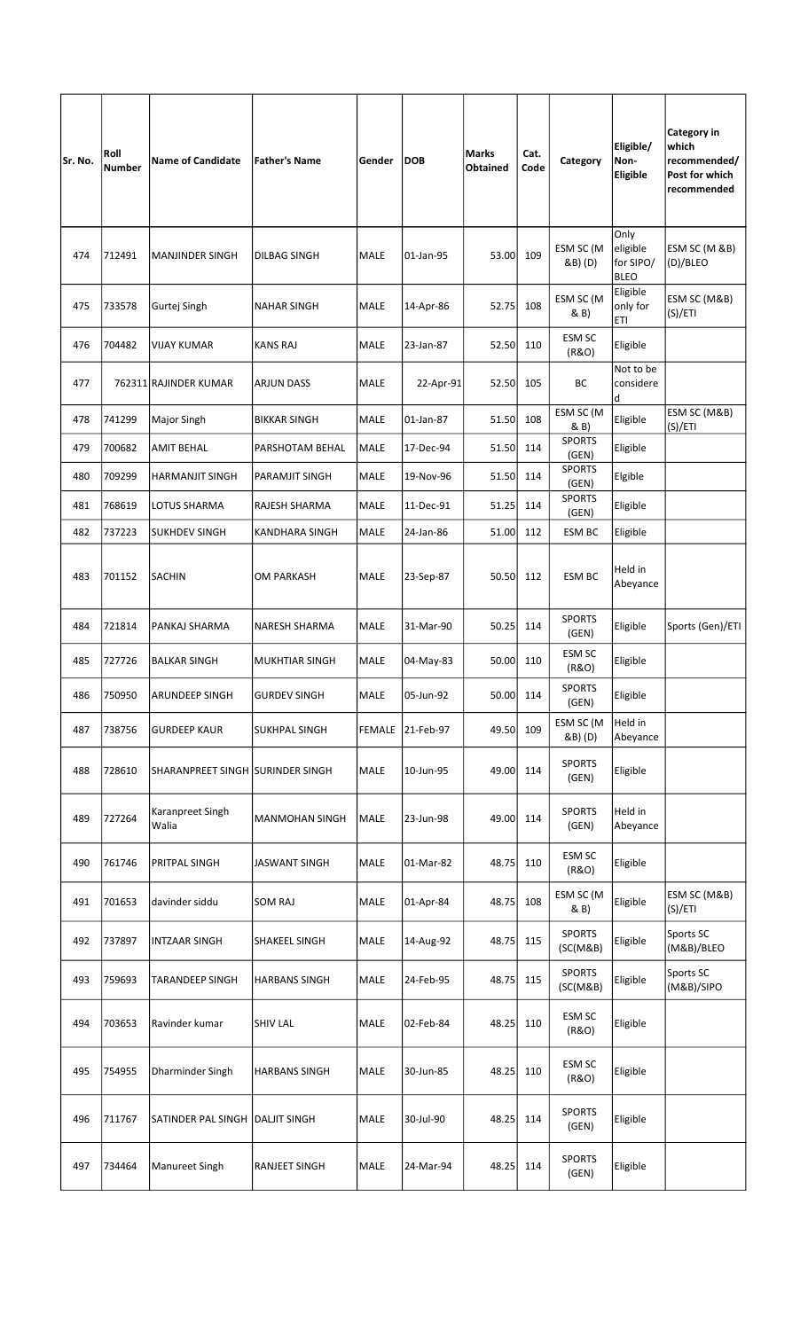| Sr. No. | Roll<br><b>Number</b> | <b>Name of Candidate</b>         | <b>Father's Name</b>  | Gender      | <b>DOB</b> | <b>Marks</b><br><b>Obtained</b> | Cat.<br>Code | Category                  | Eligible/<br>Non-<br>Eligible                | Category in<br>which<br>recommended/<br>Post for which<br>recommended |
|---------|-----------------------|----------------------------------|-----------------------|-------------|------------|---------------------------------|--------------|---------------------------|----------------------------------------------|-----------------------------------------------------------------------|
| 474     | 712491                | <b>MANJINDER SINGH</b>           | DILBAG SINGH          | <b>MALE</b> | 01-Jan-95  | 53.00                           | 109          | ESM SC (M<br>&B) (D)      | Only<br>eligible<br>for SIPO/<br><b>BLEO</b> | ESM SC (M &B)<br>(D)/BLEO                                             |
| 475     | 733578                | Gurtej Singh                     | <b>NAHAR SINGH</b>    | MALE        | 14-Apr-86  | 52.75                           | 108          | ESM SC (M<br>& B)         | Eligible<br>only for<br>ETI                  | ESM SC (M&B)<br>(S)/ETI                                               |
| 476     | 704482                | VIJAY KUMAR                      | <b>KANS RAJ</b>       | MALE        | 23-Jan-87  | 52.50                           | 110          | <b>ESM SC</b><br>(R&O)    | Eligible                                     |                                                                       |
| 477     |                       | 762311 RAJINDER KUMAR            | <b>ARJUN DASS</b>     | MALE        | 22-Apr-91  | 52.50                           | 105          | BС                        | Not to be<br>considere<br>d                  |                                                                       |
| 478     | 741299                | Major Singh                      | <b>BIKKAR SINGH</b>   | MALE        | 01-Jan-87  | 51.50                           | 108          | ESM SC (M<br>& B)         | Eligible                                     | ESM SC (M&B)<br>(S)/ETI                                               |
| 479     | 700682                | <b>AMIT BEHAL</b>                | PARSHOTAM BEHAL       | MALE        | 17-Dec-94  | 51.50                           | 114          | <b>SPORTS</b><br>(GEN)    | Eligible                                     |                                                                       |
| 480     | 709299                | HARMANJIT SINGH                  | PARAMJIT SINGH        | MALE        | 19-Nov-96  | 51.50                           | 114          | <b>SPORTS</b><br>(GEN)    | Elgible                                      |                                                                       |
| 481     | 768619                | LOTUS SHARMA                     | RAJESH SHARMA         | MALE        | 11-Dec-91  | 51.25                           | 114          | <b>SPORTS</b><br>(GEN)    | Eligible                                     |                                                                       |
| 482     | 737223                | <b>SUKHDEV SINGH</b>             | KANDHARA SINGH        | MALE        | 24-Jan-86  | 51.00                           | 112          | ESM BC                    | Eligible                                     |                                                                       |
| 483     | 701152                | <b>SACHIN</b>                    | OM PARKASH            | MALE        | 23-Sep-87  | 50.50                           | 112          | <b>ESM BC</b>             | Held in<br>Abeyance                          |                                                                       |
| 484     | 721814                | PANKAJ SHARMA                    | <b>NARESH SHARMA</b>  | MALE        | 31-Mar-90  | 50.25                           | 114          | <b>SPORTS</b><br>(GEN)    | Eligible                                     | Sports (Gen)/ETI                                                      |
| 485     | 727726                | <b>BALKAR SINGH</b>              | <b>MUKHTIAR SINGH</b> | MALE        | 04-May-83  | 50.00                           | 110          | <b>ESM SC</b><br>(R&O)    | Eligible                                     |                                                                       |
| 486     | 750950                | <b>ARUNDEEP SINGH</b>            | <b>GURDEV SINGH</b>   | MALE        | 05-Jun-92  | 50.00                           | 114          | <b>SPORTS</b><br>(GEN)    | Eligible                                     |                                                                       |
| 487     | 738756                | <b>GURDEEP KAUR</b>              | <b>SUKHPAL SINGH</b>  | FEMALE      | 21-Feb-97  | 49.50                           | 109          | ESM SC (M<br>&B) (D)      | Held in<br>Abeyance                          |                                                                       |
| 488     | 728610                | SHARANPREET SINGH SURINDER SINGH |                       | MALE        | 10-Jun-95  | 49.00                           | 114          | <b>SPORTS</b><br>(GEN)    | Eligible                                     |                                                                       |
| 489     | 727264                | Karanpreet Singh<br>Walia        | <b>MANMOHAN SINGH</b> | MALE        | 23-Jun-98  | 49.00                           | 114          | <b>SPORTS</b><br>(GEN)    | Held in<br>Abeyance                          |                                                                       |
| 490     | 761746                | PRITPAL SINGH                    | <b>JASWANT SINGH</b>  | MALE        | 01-Mar-82  | 48.75                           | 110          | ESM SC<br>(R&O)           | Eligible                                     |                                                                       |
| 491     | 701653                | davinder siddu                   | <b>SOM RAJ</b>        | MALE        | 01-Apr-84  | 48.75                           | 108          | ESM SC (M<br>& B)         | Eligible                                     | ESM SC (M&B)<br>(S)/ETI                                               |
| 492     | 737897                | INTZAAR SINGH                    | SHAKEEL SINGH         | MALE        | 14-Aug-92  | 48.75                           | 115          | <b>SPORTS</b><br>(SC(M&B) | Eligible                                     | Sports SC<br>(M&B)/BLEO                                               |
| 493     | 759693                | TARANDEEP SINGH                  | <b>HARBANS SINGH</b>  | MALE        | 24-Feb-95  | 48.75                           | 115          | <b>SPORTS</b><br>(SC(M&B) | Eligible                                     | Sports SC<br>(M&B)/SIPO                                               |
| 494     | 703653                | Ravinder kumar                   | <b>SHIV LAL</b>       | MALE        | 02-Feb-84  | 48.25                           | 110          | ESM SC<br>(R&O)           | Eligible                                     |                                                                       |
| 495     | 754955                | Dharminder Singh                 | <b>HARBANS SINGH</b>  | MALE        | 30-Jun-85  | 48.25                           | 110          | ESM SC<br>(R&O)           | Eligible                                     |                                                                       |
| 496     | 711767                | SATINDER PAL SINGH               | <b>DALJIT SINGH</b>   | MALE        | 30-Jul-90  | 48.25                           | 114          | <b>SPORTS</b><br>(GEN)    | Eligible                                     |                                                                       |
| 497     | 734464                | Manureet Singh                   | <b>RANJEET SINGH</b>  | MALE        | 24-Mar-94  | 48.25                           | 114          | <b>SPORTS</b><br>(GEN)    | Eligible                                     |                                                                       |